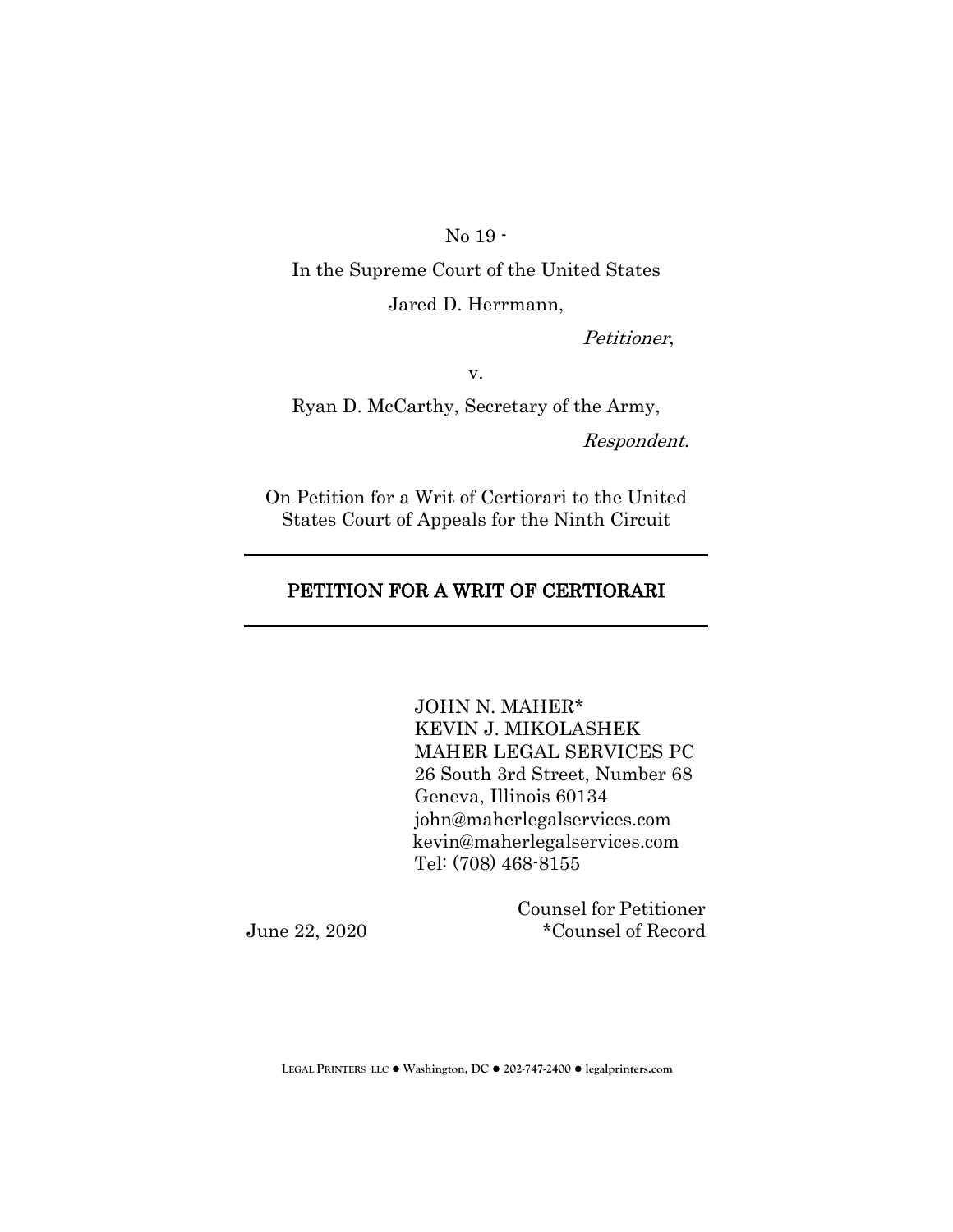No 19 -

In the Supreme Court of the United States Jared D. Herrmann,

Petitioner,

v.

Ryan D. McCarthy, Secretary of the Army,

Respondent.

On Petition for a Writ of Certiorari to the United States Court of Appeals for the Ninth Circuit

# PETITION FOR A WRIT OF CERTIORARI

JOHN N. MAHER\* KEVIN J. MIKOLASHEK MAHER LEGAL SERVICES PC 26 South 3rd Street, Number 68 Geneva, Illinois 60134 john@maherlegalservices.com [kevin@maherlegalservices.com](mailto:kevin@maherlegalservices.com) Tel: (708) 468-8155

Counsel for Petitioner June 22, 2020 \*Counsel of Record

**LEGAL PRINTERS LLC** ! **Washington, DC** ! **202-747-2400** ! **legalprinters.com**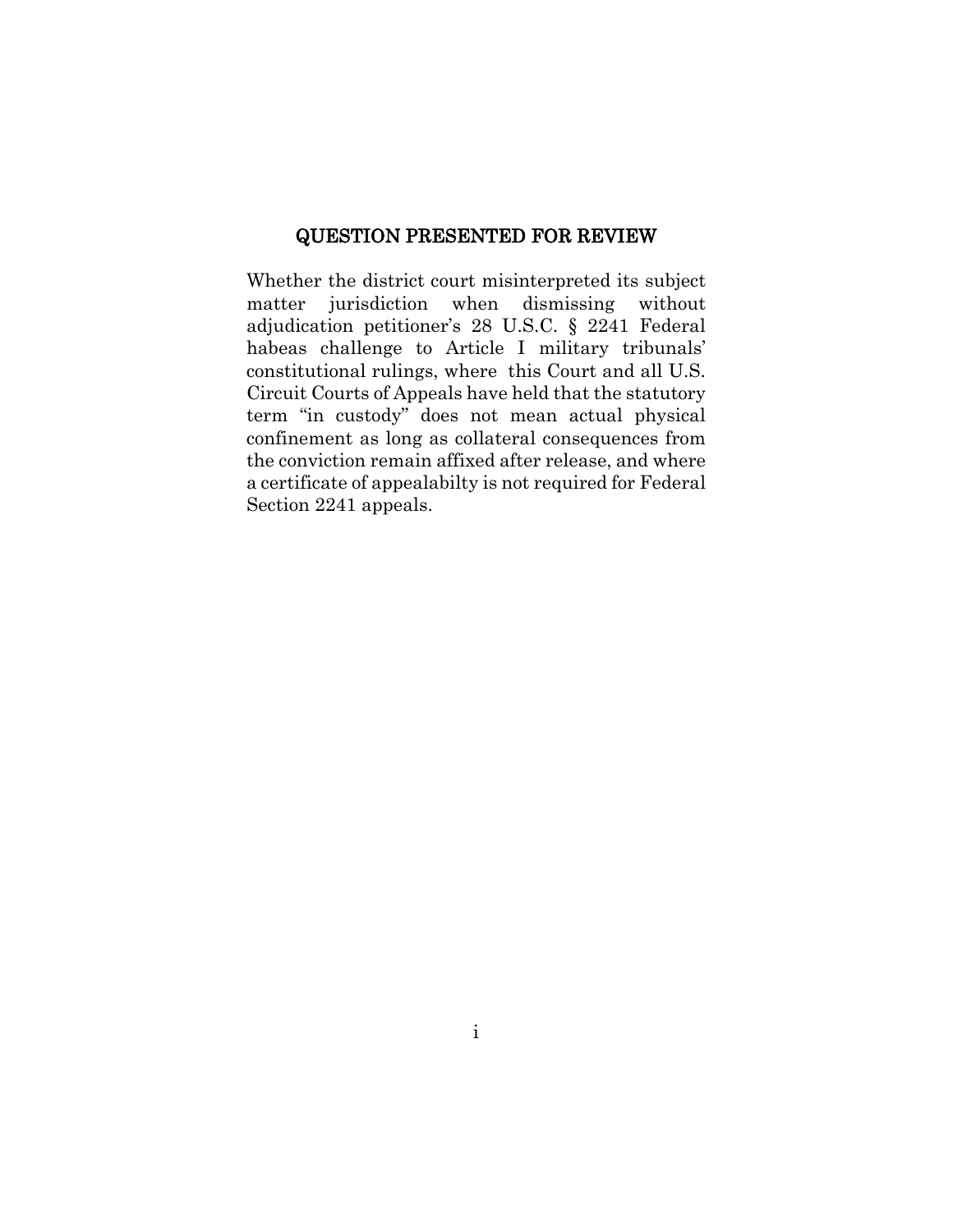#### QUESTION PRESENTED FOR REVIEW

Whether the district court misinterpreted its subject matter jurisdiction when dismissing without adjudication petitioner's 28 U.S.C. § 2241 Federal habeas challenge to Article I military tribunals' constitutional rulings, where this Court and all U.S. Circuit Courts of Appeals have held that the statutory term "in custody" does not mean actual physical confinement as long as collateral consequences from the conviction remain affixed after release, and where a certificate of appealabilty is not required for Federal Section 2241 appeals.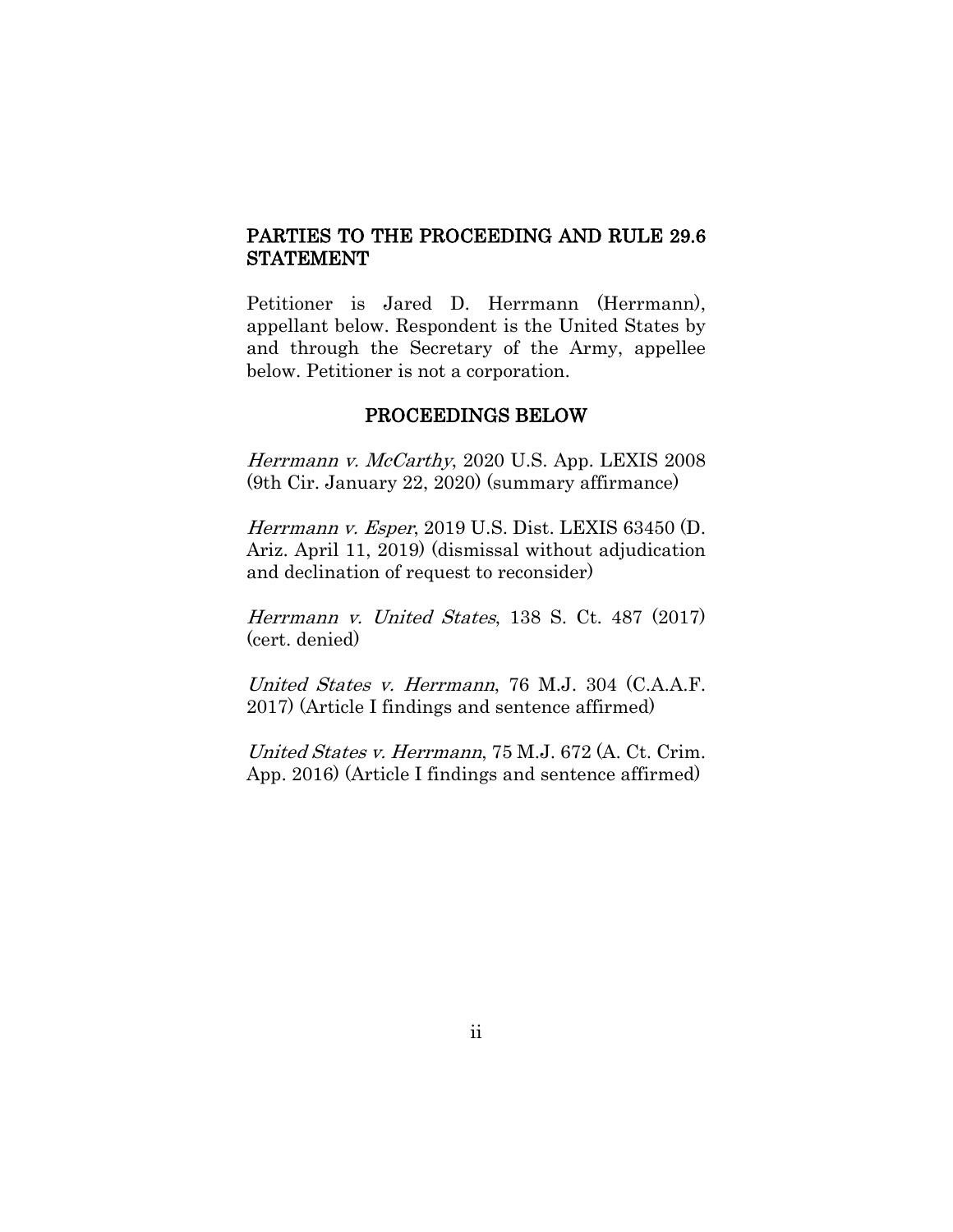# PARTIES TO THE PROCEEDING AND RULE 29.6 STATEMENT

Petitioner is Jared D. Herrmann (Herrmann), appellant below. Respondent is the United States by and through the Secretary of the Army, appellee below. Petitioner is not a corporation.

#### PROCEEDINGS BELOW

Herrmann v. McCarthy, 2020 U.S. App. LEXIS 2008 (9th Cir. January 22, 2020) (summary affirmance)

Herrmann v. Esper, 2019 U.S. Dist. LEXIS 63450 (D. Ariz. April 11, 2019) (dismissal without adjudication and declination of request to reconsider)

Herrmann v. United States, 138 S. Ct. 487 (2017) (cert. denied)

United States v. Herrmann, 76 M.J. 304 (C.A.A.F. 2017) (Article I findings and sentence affirmed)

United States v. Herrmann, 75 M.J. 672 (A. Ct. Crim. App. 2016) (Article I findings and sentence affirmed)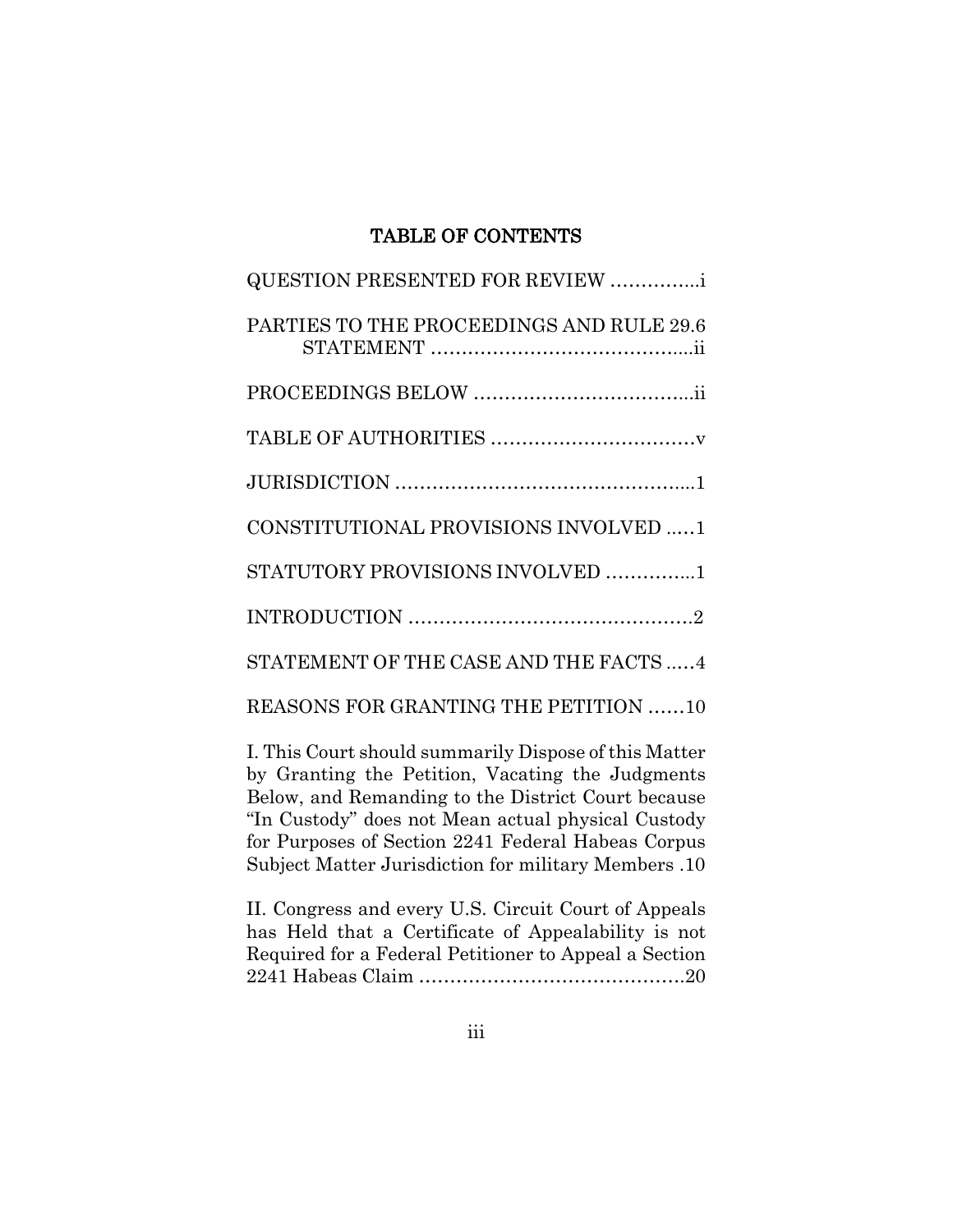# TABLE OF CONTENTS

| <b>QUESTION PRESENTED FOR REVIEW </b>                                                                    |
|----------------------------------------------------------------------------------------------------------|
| PARTIES TO THE PROCEEDINGS AND RULE 29.6                                                                 |
|                                                                                                          |
|                                                                                                          |
|                                                                                                          |
| CONSTITUTIONAL PROVISIONS INVOLVED 1                                                                     |
| STATUTORY PROVISIONS INVOLVED 1                                                                          |
|                                                                                                          |
| STATEMENT OF THE CASE AND THE FACTS  4                                                                   |
| REASONS FOR GRANTING THE PETITION 10                                                                     |
| I. This Court should summarily Dispose of this Matter<br>by Granting the Petition Vacating the Judgments |

by Granting the Petition, Vacating the Judgments Below, and Remanding to the District Court because "In Custody" does not Mean actual physical Custody for Purposes of Section 2241 Federal Habeas Corpus Subject Matter Jurisdiction for military Members .10

II. Congress and every U.S. Circuit Court of Appeals has Held that a Certificate of Appealability is not Required for a Federal Petitioner to Appeal a Section 2241 Habeas Claim …………………………………….20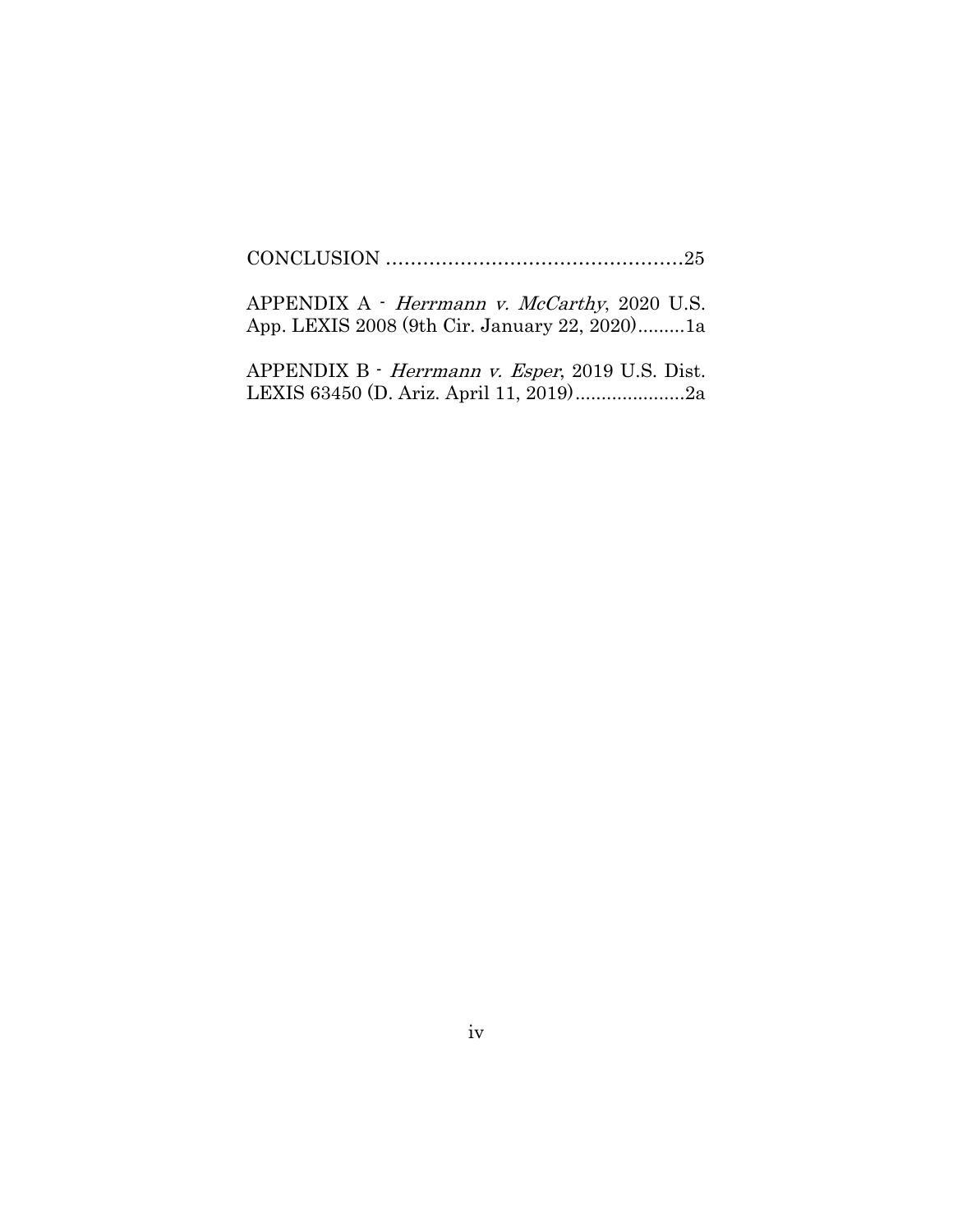CONCLUSION …………………………………………25

APPENDIX A - Herrmann v. McCarthy, 2020 U.S. App. LEXIS 2008 (9th Cir. January 22, 2020).........1a

APPENDIX B - Herrmann v. Esper, 2019 U.S. Dist. LEXIS 63450 (D. Ariz. April 11, 2019).....................2a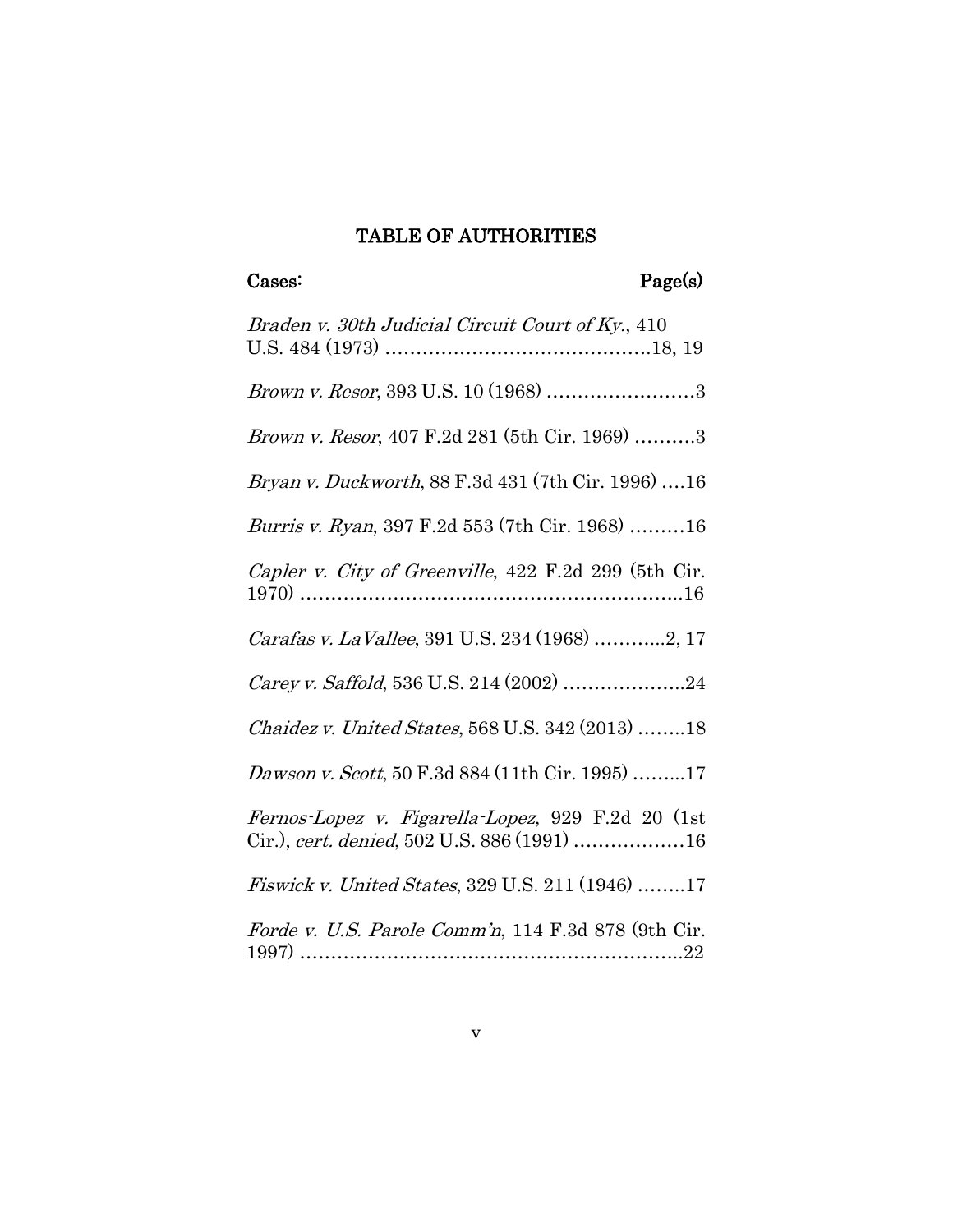# TABLE OF AUTHORITIES

# Cases: Page(s)

| Braden v. 30th Judicial Circuit Court of Ky., 410                                                |
|--------------------------------------------------------------------------------------------------|
| Brown v. Resor, 393 U.S. 10 (1968) 3                                                             |
| Brown v. Resor, 407 F.2d 281 (5th Cir. 1969) 3                                                   |
| <i>Bryan v. Duckworth</i> , 88 F.3d 431 (7th Cir. 1996) 16                                       |
| <i>Burris v. Ryan</i> , 397 F.2d 553 (7th Cir. 1968) 16                                          |
| Capler v. City of Greenville, 422 F.2d 299 (5th Cir.                                             |
| Carafas v. La Vallee, 391 U.S. 234 (1968) 2, 17                                                  |
| Carey v. Saffold, 536 U.S. 214 (2002) 24                                                         |
| Chaidez v. United States, 568 U.S. 342 (2013) 18                                                 |
| Dawson v. Scott, 50 F.3d 884 (11th Cir. 1995) 17                                                 |
| Fernos-Lopez v. Figarella-Lopez, 929 F.2d 20 (1st<br>Cir.), cert. denied, 502 U.S. 886 (1991) 16 |
| <i>Fiswick v. United States, 329 U.S. 211 (1946) 17</i>                                          |
| Forde v. U.S. Parole Comm'n, 114 F.3d 878 (9th Cir.                                              |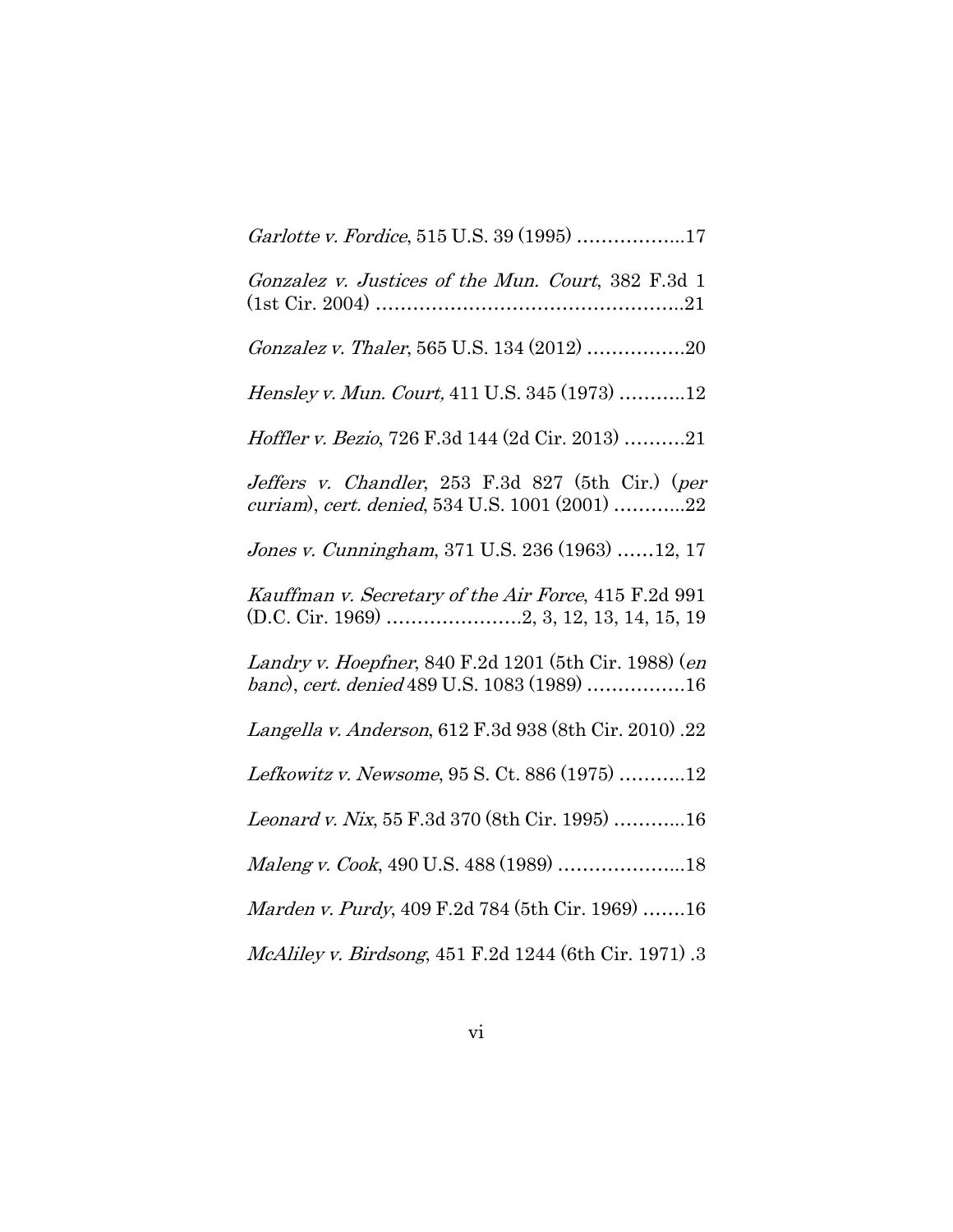| Garlotte v. Fordice, 515 U.S. 39 (1995) 17                                                           |
|------------------------------------------------------------------------------------------------------|
| Gonzalez v. Justices of the Mun. Court, 382 F.3d 1                                                   |
| Gonzalez v. Thaler, 565 U.S. 134 (2012) 20                                                           |
| Hensley v. Mun. Court, 411 U.S. 345 (1973) 12                                                        |
| Hoffler v. Bezio, 726 F.3d 144 (2d Cir. 2013) 21                                                     |
| Jeffers v. Chandler, 253 F.3d 827 (5th Cir.) (per<br>curiam), cert. denied, 534 U.S. 1001 (2001) 22  |
| Jones v. Cunningham, 371 U.S. 236 (1963) 12, 17                                                      |
| Kauffman v. Secretary of the Air Force, 415 F.2d 991                                                 |
| Landry v. Hoepfner, 840 F.2d 1201 (5th Cir. 1988) (en<br>banc), cert. denied 489 U.S. 1083 (1989) 16 |
| Langella v. Anderson, 612 F.3d 938 (8th Cir. 2010) .22                                               |
| Lefkowitz v. Newsome, 95 S. Ct. 886 (1975) 12                                                        |
| Leonard v. Nix, 55 F.3d 370 (8th Cir. 1995) 16                                                       |
| Maleng v. Cook, 490 U.S. 488 (1989) 18                                                               |
| <i>Marden v. Purdy</i> , 409 F.2d 784 (5th Cir. 1969) 16                                             |
|                                                                                                      |

McAliley v. Birdsong, 451 F.2d 1244 (6th Cir. 1971) .3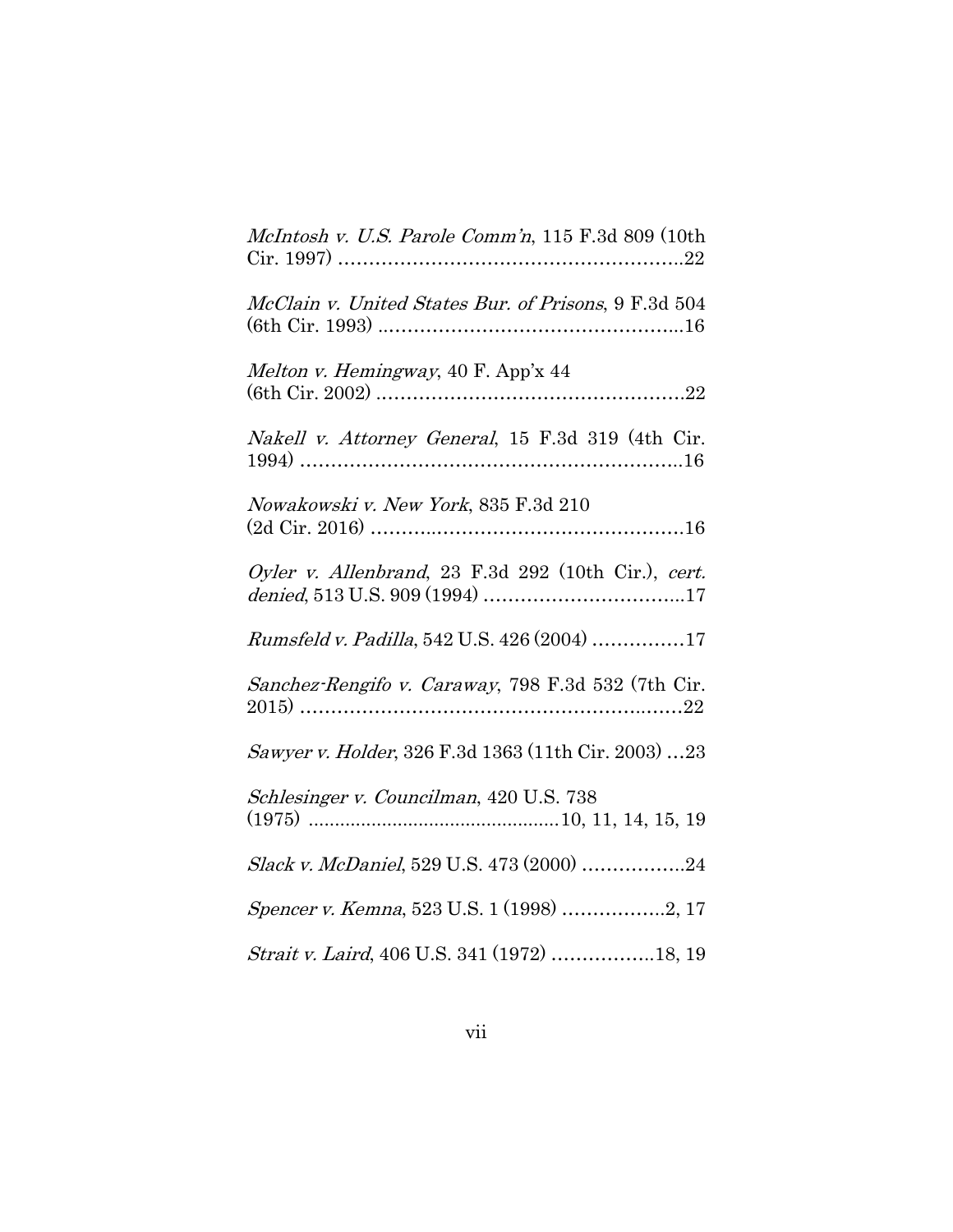| McIntosh v. U.S. Parole Comm'n, 115 F.3d 809 (10th   |
|------------------------------------------------------|
| McClain v. United States Bur. of Prisons, 9 F.3d 504 |
| Melton v. Hemingway, 40 F. App'x 44                  |
| Nakell v. Attorney General, 15 F.3d 319 (4th Cir.    |
| Nowakowski v. New York, 835 F.3d 210                 |
| Oyler v. Allenbrand, 23 F.3d 292 (10th Cir.), cert.  |
| Rumsfeld v. Padilla, 542 U.S. 426 (2004) 17          |
| Sanchez-Rengifo v. Caraway, 798 F.3d 532 (7th Cir.   |
| Sawyer v. Holder, 326 F.3d 1363 (11th Cir. 2003) 23  |
| Schlesinger v. Councilman, 420 U.S. 738              |
| Slack v. McDaniel, 529 U.S. 473 (2000) 24            |
| Spencer v. Kemna, 523 U.S. 1 (1998) 2, 17            |
| Strait v. Laird, 406 U.S. 341 (1972) 18, 19          |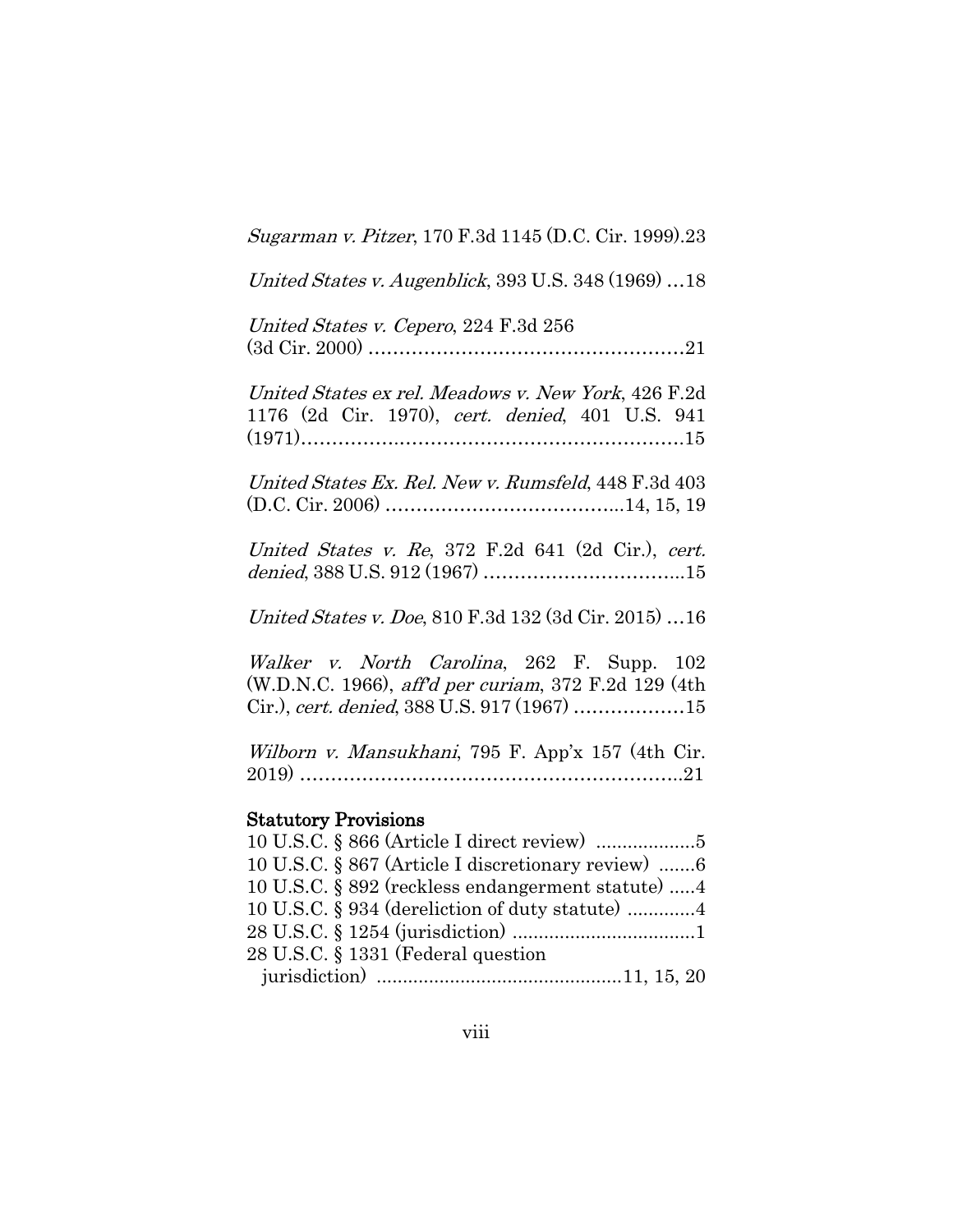Sugarman v. Pitzer, 170 F.3d 1145 (D.C. Cir. 1999).23

United States v. Augenblick, 393 U.S. 348 (1969) …18

United States v. Cepero, 224 F.3d 256 (3d Cir. 2000) ……………………………………………21

United States ex rel. Meadows v. New York, 426 F.2d 1176 (2d Cir. 1970), cert. denied, 401 U.S. 941 (1971)…………….……………………………………….15

United States Ex. Rel. New v. Rumsfeld, 448 F.3d 403 (D.C. Cir. 2006) ………………………………...14, 15, 19

United States v. Re, 372 F.2d 641 (2d Cir.), cert. denied, 388 U.S. 912 (1967) …………………………...15

United States v. Doe, 810 F.3d 132 (3d Cir. 2015) …16

Walker v. North Carolina, 262 F. Supp. 102 (W.D.N.C. 1966), aff'd per curiam, 372 F.2d 129 (4th Cir.), cert. denied, 388 U.S. 917 (1967) ………………15

Wilborn v. Mansukhani, 795 F. App'x 157 (4th Cir. 2019) ……………………………………………………..21

#### Statutory Provisions

| 10 U.S.C. § 867 (Article I discretionary review) 6 |  |
|----------------------------------------------------|--|
| 10 U.S.C. § 892 (reckless endangerment statute) 4  |  |
|                                                    |  |
|                                                    |  |
| 28 U.S.C. § 1331 (Federal question                 |  |
|                                                    |  |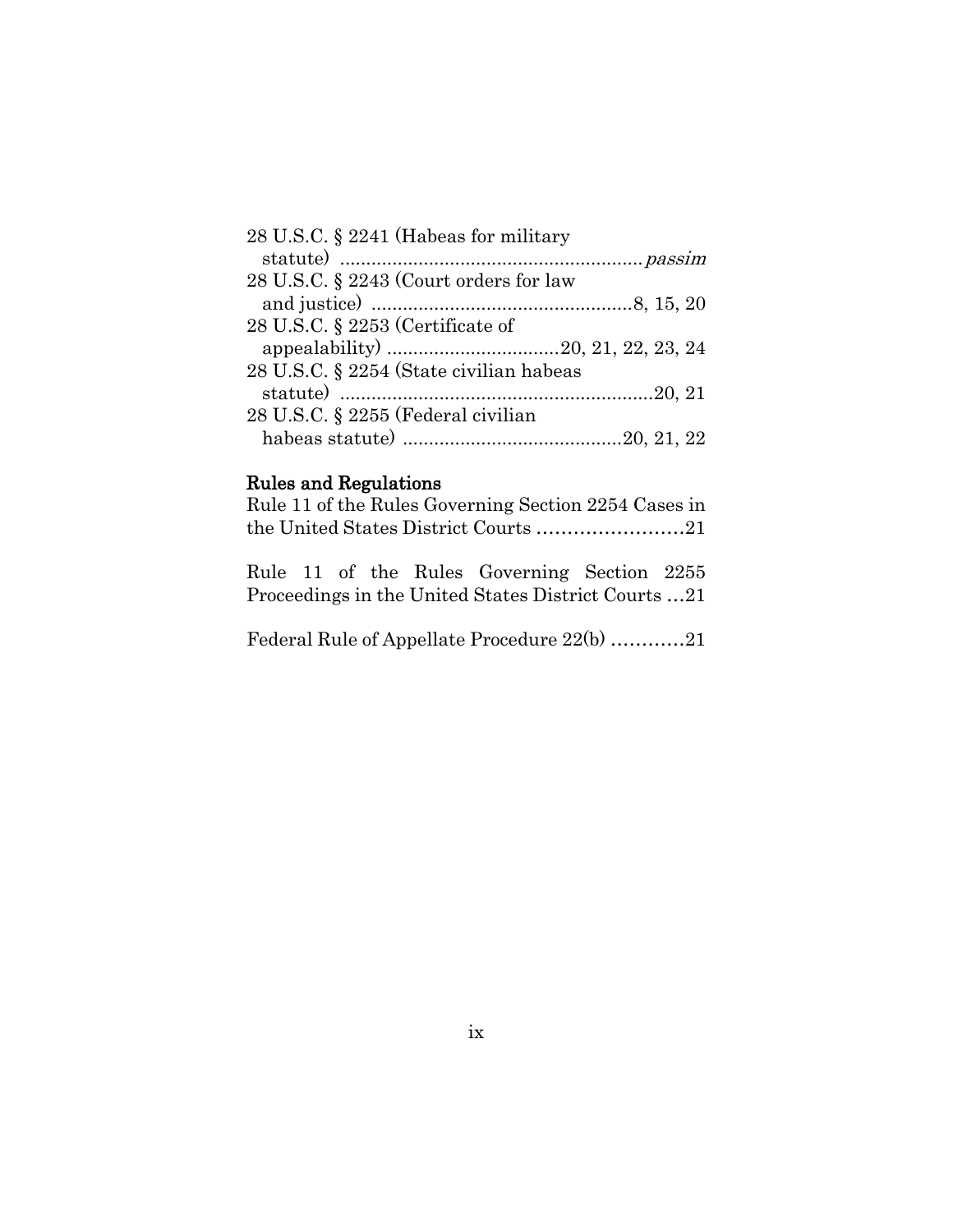| 28 U.S.C. § 2241 (Habeas for military   |  |
|-----------------------------------------|--|
|                                         |  |
| 28 U.S.C. § 2243 (Court orders for law  |  |
|                                         |  |
| 28 U.S.C. $\S$ 2253 (Certificate of     |  |
|                                         |  |
| 28 U.S.C. § 2254 (State civilian habeas |  |
|                                         |  |
| 28 U.S.C. § 2255 (Federal civilian      |  |
|                                         |  |

#### Rules and Regulations

| Rule 11 of the Rules Governing Section 2254 Cases in |  |
|------------------------------------------------------|--|
|                                                      |  |

Rule 11 of the Rules Governing Section 2255 Proceedings in the United States District Courts …21

Federal Rule of Appellate Procedure 22(b) …………21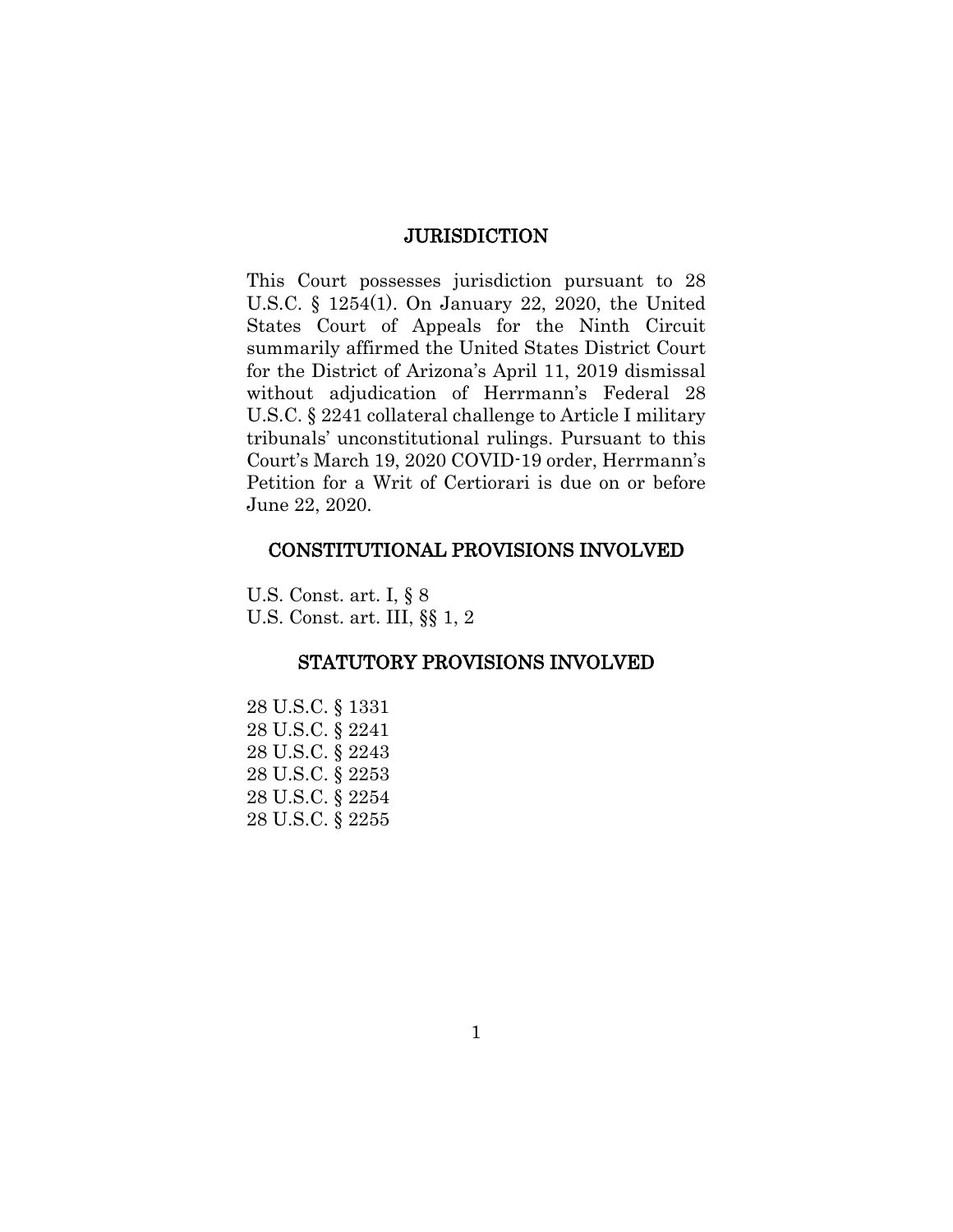#### **JURISDICTION**

This Court possesses jurisdiction pursuant to 28 U.S.C. § 1254(1). On January 22, 2020, the United States Court of Appeals for the Ninth Circuit summarily affirmed the United States District Court for the District of Arizona's April 11, 2019 dismissal without adjudication of Herrmann's Federal 28 U.S.C. § 2241 collateral challenge to Article I military tribunals' unconstitutional rulings. Pursuant to this Court's March 19, 2020 COVID-19 order, Herrmann's Petition for a Writ of Certiorari is due on or before June 22, 2020.

#### CONSTITUTIONAL PROVISIONS INVOLVED

U.S. Const. art. I, § 8 U.S. Const. art. III, §§ 1, 2

# STATUTORY PROVISIONS INVOLVED

28 U.S.C. § 1331 28 U.S.C. § 2241 28 U.S.C. § 2243 28 U.S.C. § 2253 28 U.S.C. § 2254 28 U.S.C. § 2255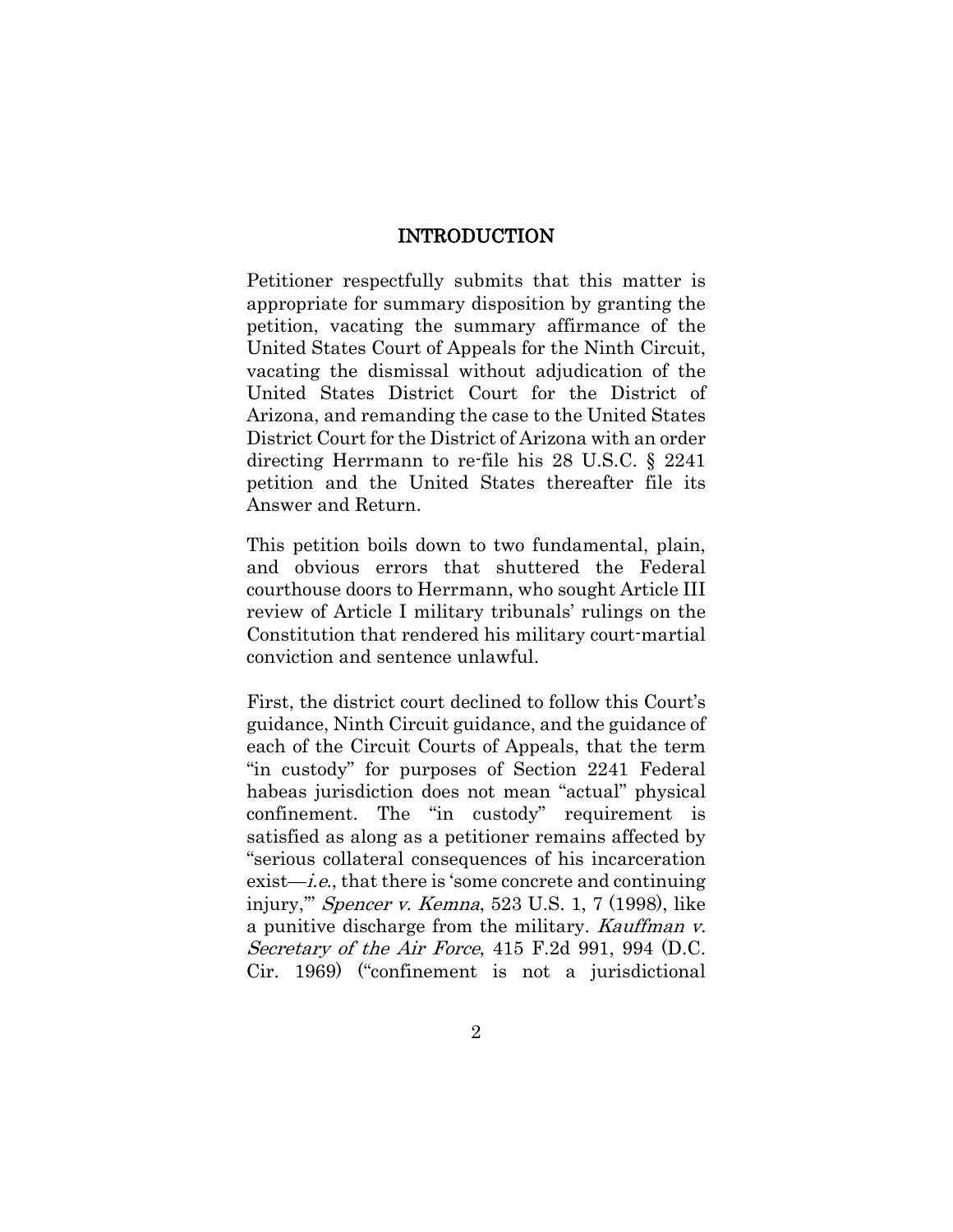#### INTRODUCTION

Petitioner respectfully submits that this matter is appropriate for summary disposition by granting the petition, vacating the summary affirmance of the United States Court of Appeals for the Ninth Circuit, vacating the dismissal without adjudication of the United States District Court for the District of Arizona, and remanding the case to the United States District Court for the District of Arizona with an order directing Herrmann to re-file his 28 U.S.C. § 2241 petition and the United States thereafter file its Answer and Return.

This petition boils down to two fundamental, plain, and obvious errors that shuttered the Federal courthouse doors to Herrmann, who sought Article III review of Article I military tribunals' rulings on the Constitution that rendered his military court-martial conviction and sentence unlawful.

First, the district court declined to follow this Court's guidance, Ninth Circuit guidance, and the guidance of each of the Circuit Courts of Appeals, that the term "in custody" for purposes of Section 2241 Federal habeas jurisdiction does not mean "actual" physical confinement. The "in custody" requirement is satisfied as along as a petitioner remains affected by "serious collateral consequences of his incarceration exist—i.e., that there is 'some concrete and continuing injury,'" Spencer v. Kemna, 523 U.S. 1, 7 (1998), like a punitive discharge from the military. Kauffman v. Secretary of the Air Force, 415 F.2d 991, 994 (D.C. Cir. 1969) ("confinement is not a jurisdictional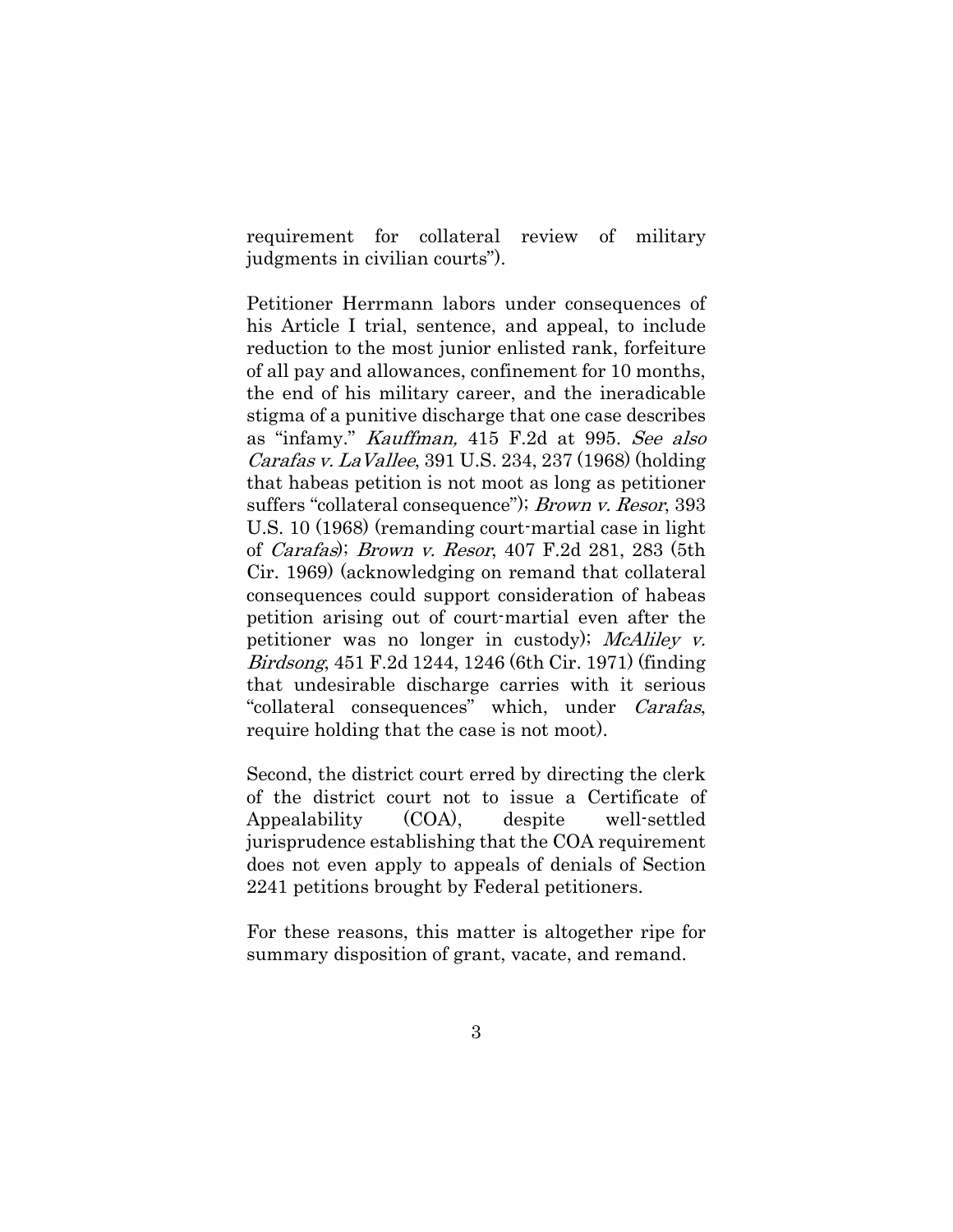requirement for collateral review of military judgments in civilian courts").

Petitioner Herrmann labors under consequences of his Article I trial, sentence, and appeal, to include reduction to the most junior enlisted rank, forfeiture of all pay and allowances, confinement for 10 months, the end of his military career, and the ineradicable stigma of a punitive discharge that one case describes as "infamy." Kauffman, 415 F.2d at 995. See also Carafas v. LaVallee, 391 U.S. 234, 237 (1968) (holding that habeas petition is not moot as long as petitioner suffers "collateral consequence"); *Brown v. Resor*, 393 U.S. 10 (1968) (remanding court-martial case in light of Carafas); Brown v. Resor, 407 F.2d 281, 283 (5th Cir. 1969) (acknowledging on remand that collateral consequences could support consideration of habeas petition arising out of court-martial even after the petitioner was no longer in custody); McAliley v. Birdsong, 451 F.2d 1244, 1246 (6th Cir. 1971) (finding that undesirable discharge carries with it serious "collateral consequences" which, under Carafas, require holding that the case is not moot).

Second, the district court erred by directing the clerk of the district court not to issue a Certificate of Appealability (COA), despite well-settled jurisprudence establishing that the COA requirement does not even apply to appeals of denials of Section 2241 petitions brought by Federal petitioners.

For these reasons, this matter is altogether ripe for summary disposition of grant, vacate, and remand.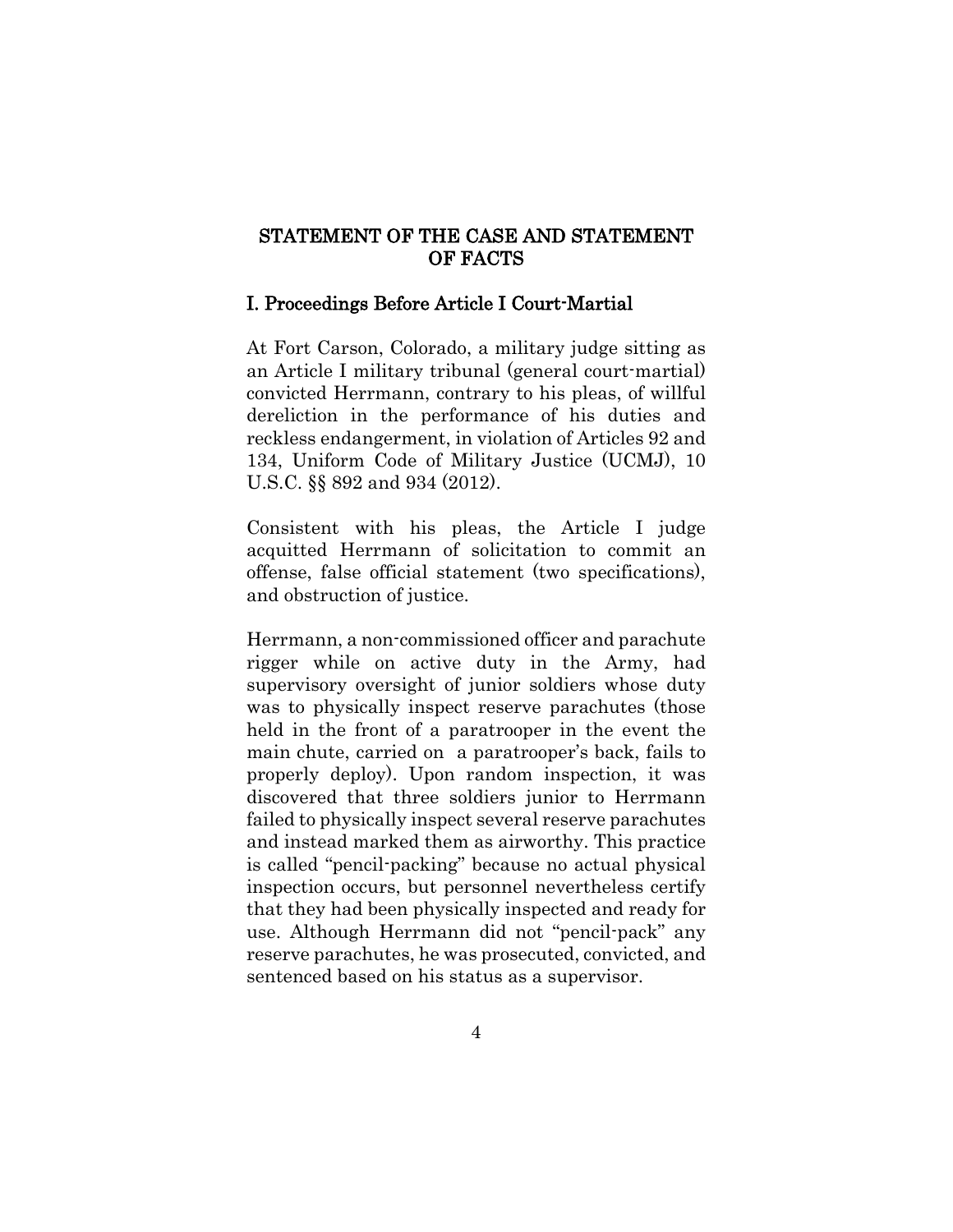# STATEMENT OF THE CASE AND STATEMENT OF FACTS

#### I. Proceedings Before Article I Court-Martial

At Fort Carson, Colorado, a military judge sitting as an Article I military tribunal (general court-martial) convicted Herrmann, contrary to his pleas, of willful dereliction in the performance of his duties and reckless endangerment, in violation of Articles 92 and 134, Uniform Code of Military Justice (UCMJ), 10 U.S.C. §§ 892 and 934 (2012).

Consistent with his pleas, the Article I judge acquitted Herrmann of solicitation to commit an offense, false official statement (two specifications), and obstruction of justice.

Herrmann, a non-commissioned officer and parachute rigger while on active duty in the Army, had supervisory oversight of junior soldiers whose duty was to physically inspect reserve parachutes (those held in the front of a paratrooper in the event the main chute, carried on a paratrooper's back, fails to properly deploy). Upon random inspection, it was discovered that three soldiers junior to Herrmann failed to physically inspect several reserve parachutes and instead marked them as airworthy. This practice is called "pencil-packing" because no actual physical inspection occurs, but personnel nevertheless certify that they had been physically inspected and ready for use. Although Herrmann did not "pencil-pack" any reserve parachutes, he was prosecuted, convicted, and sentenced based on his status as a supervisor.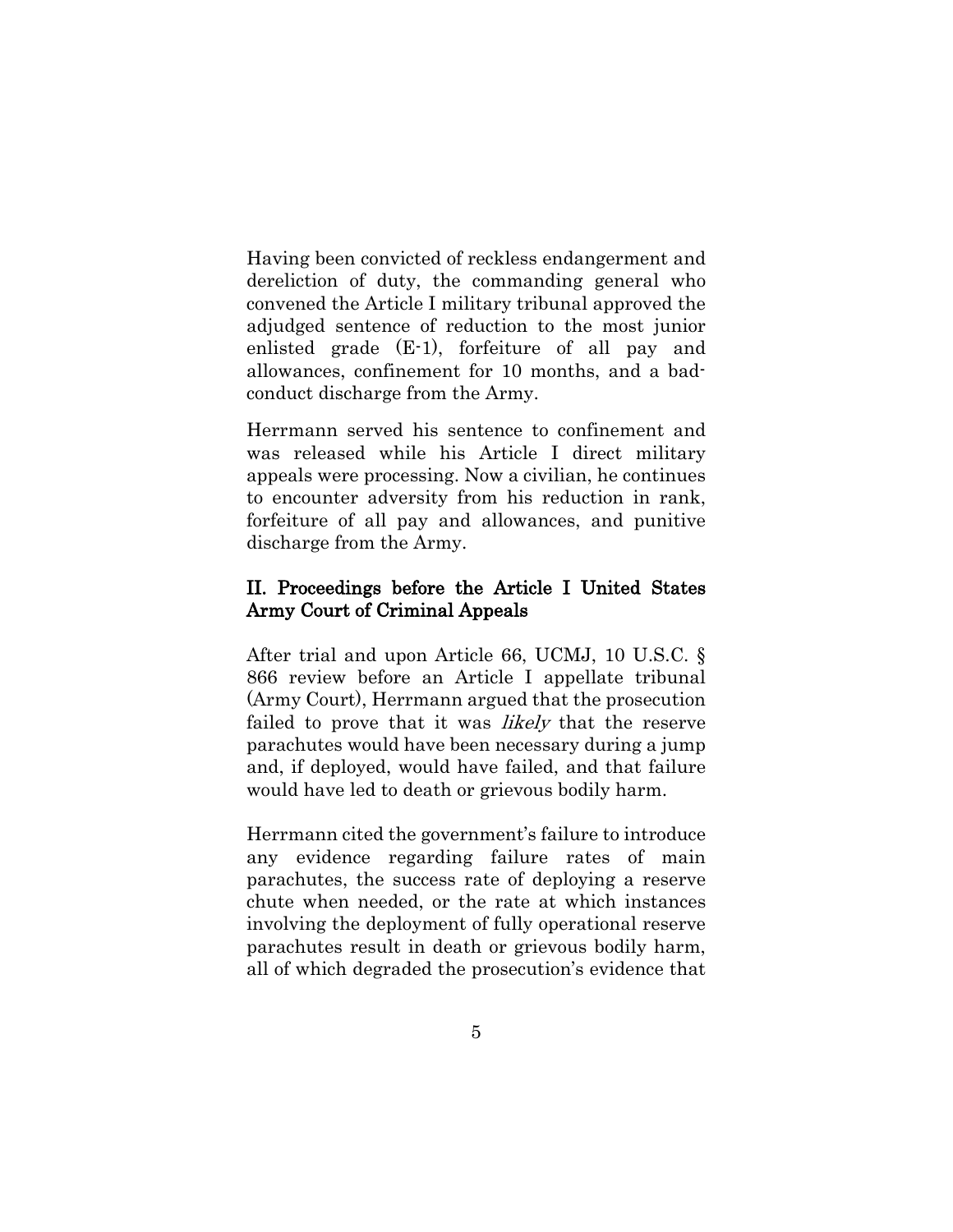Having been convicted of reckless endangerment and dereliction of duty, the commanding general who convened the Article I military tribunal approved the adjudged sentence of reduction to the most junior enlisted grade (E-1), forfeiture of all pay and allowances, confinement for 10 months, and a badconduct discharge from the Army.

Herrmann served his sentence to confinement and was released while his Article I direct military appeals were processing. Now a civilian, he continues to encounter adversity from his reduction in rank, forfeiture of all pay and allowances, and punitive discharge from the Army.

# II. Proceedings before the Article I United States Army Court of Criminal Appeals

After trial and upon Article 66, UCMJ, 10 U.S.C. § 866 review before an Article I appellate tribunal (Army Court), Herrmann argued that the prosecution failed to prove that it was *likely* that the reserve parachutes would have been necessary during a jump and, if deployed, would have failed, and that failure would have led to death or grievous bodily harm.

Herrmann cited the government's failure to introduce any evidence regarding failure rates of main parachutes, the success rate of deploying a reserve chute when needed, or the rate at which instances involving the deployment of fully operational reserve parachutes result in death or grievous bodily harm, all of which degraded the prosecution's evidence that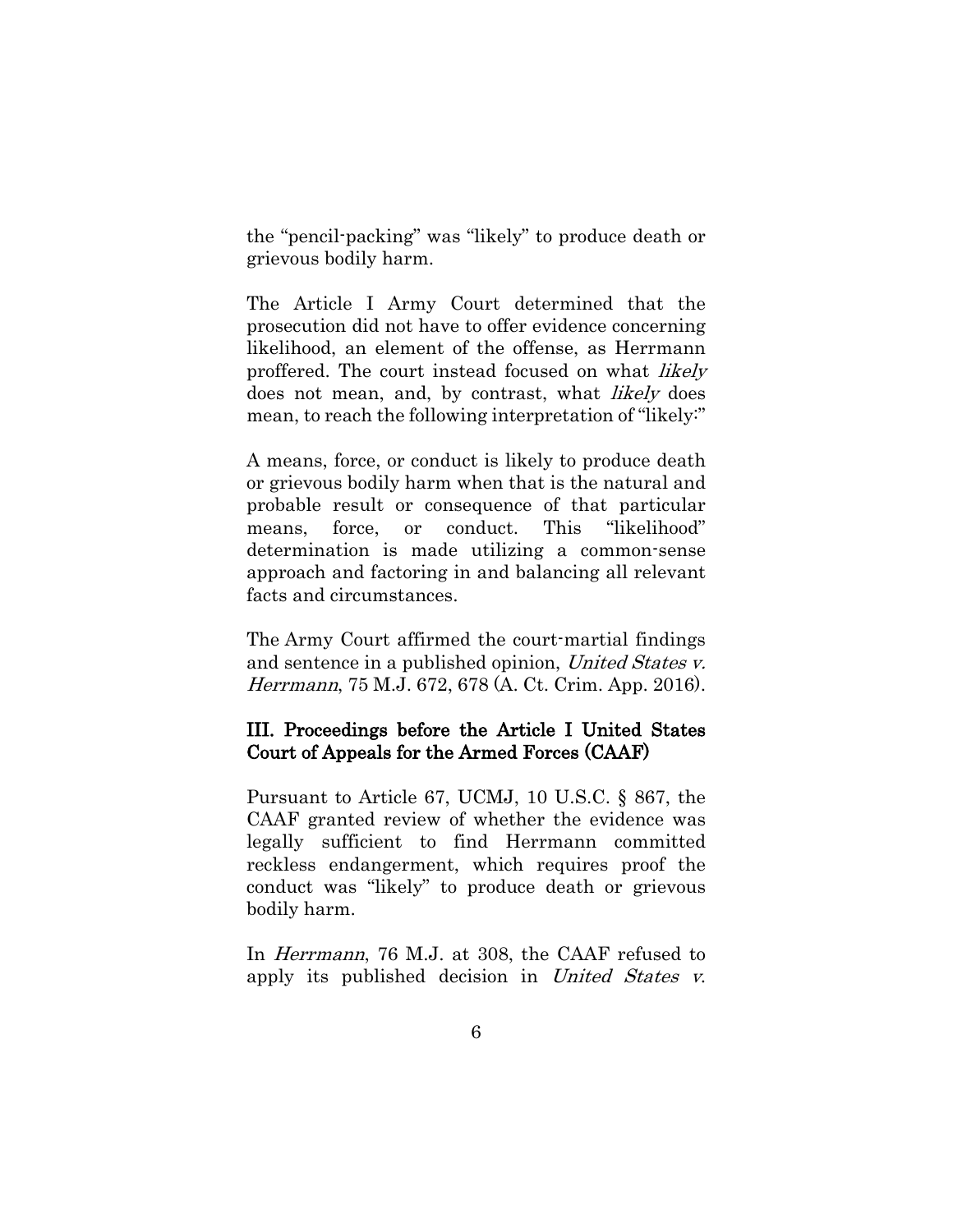the "pencil-packing" was "likely" to produce death or grievous bodily harm.

The Article I Army Court determined that the prosecution did not have to offer evidence concerning likelihood, an element of the offense, as Herrmann proffered. The court instead focused on what likely does not mean, and, by contrast, what *likely* does mean, to reach the following interpretation of "likely:"

A means, force, or conduct is likely to produce death or grievous bodily harm when that is the natural and probable result or consequence of that particular means, force, or conduct. This "likelihood" determination is made utilizing a common-sense approach and factoring in and balancing all relevant facts and circumstances.

The Army Court affirmed the court-martial findings and sentence in a published opinion, United States v. Herrmann, 75 M.J. 672, 678 (A. Ct. Crim. App. 2016).

# III. Proceedings before the Article I United States Court of Appeals for the Armed Forces (CAAF)

Pursuant to Article 67, UCMJ, 10 U.S.C. § 867, the CAAF granted review of whether the evidence was legally sufficient to find Herrmann committed reckless endangerment, which requires proof the conduct was "likely" to produce death or grievous bodily harm.

In Herrmann, 76 M.J. at 308, the CAAF refused to apply its published decision in United States v.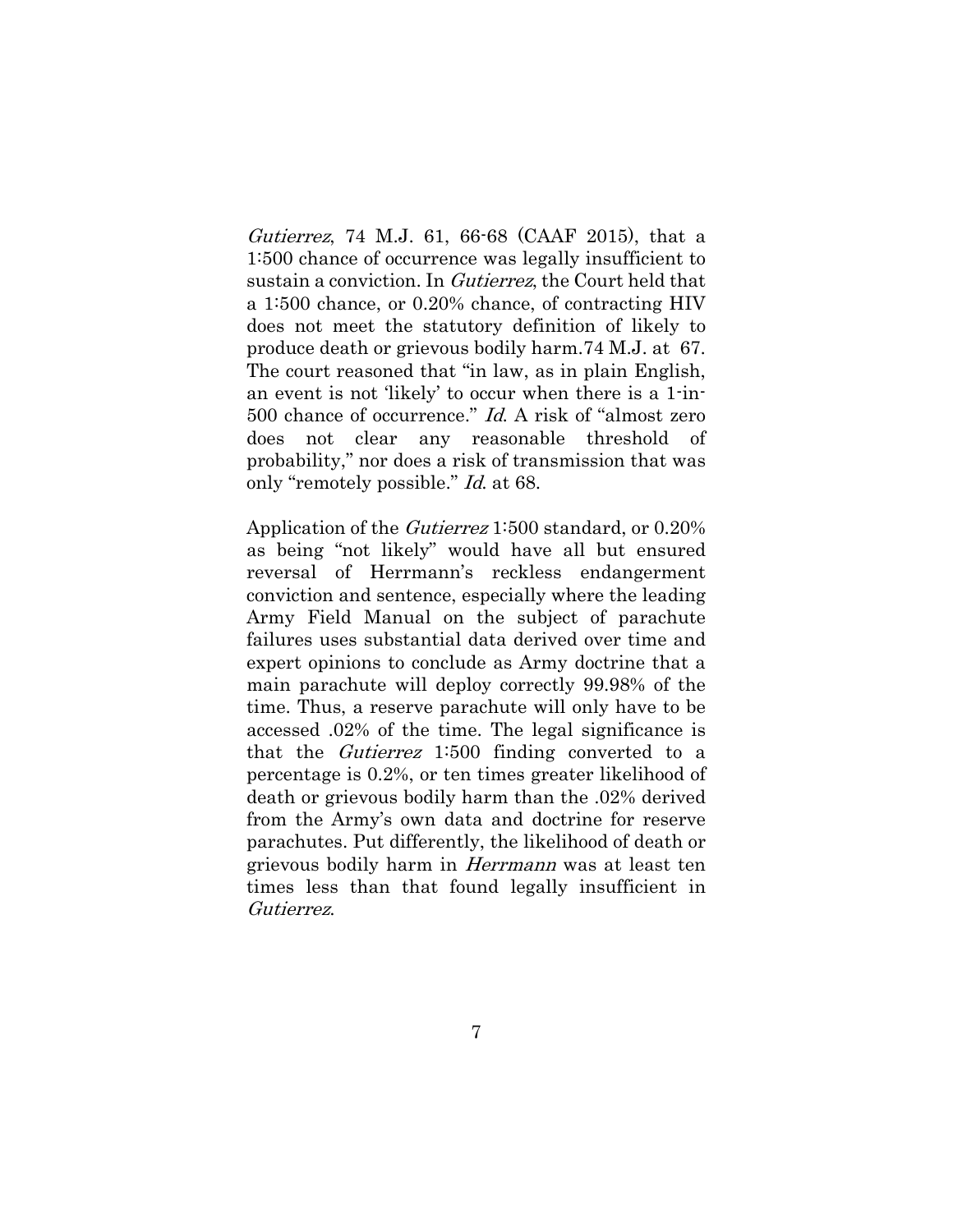Gutierrez, 74 M.J. 61, 66-68 (CAAF 2015), that a 1:500 chance of occurrence was legally insufficient to sustain a conviction. In *Gutierrez*, the Court held that a 1:500 chance, or 0.20% chance, of contracting HIV does not meet the statutory definition of likely to produce death or grievous bodily harm.74 M.J. at 67. The court reasoned that "in law, as in plain English, an event is not 'likely' to occur when there is a 1-in-500 chance of occurrence." Id. A risk of "almost zero does not clear any reasonable threshold of probability," nor does a risk of transmission that was only "remotely possible." Id. at 68.

Application of the Gutierrez 1:500 standard, or 0.20% as being "not likely" would have all but ensured reversal of Herrmann's reckless endangerment conviction and sentence, especially where the leading Army Field Manual on the subject of parachute failures uses substantial data derived over time and expert opinions to conclude as Army doctrine that a main parachute will deploy correctly 99.98% of the time. Thus, a reserve parachute will only have to be accessed .02% of the time. The legal significance is that the Gutierrez 1:500 finding converted to a percentage is 0.2%, or ten times greater likelihood of death or grievous bodily harm than the .02% derived from the Army's own data and doctrine for reserve parachutes. Put differently, the likelihood of death or grievous bodily harm in Herrmann was at least ten times less than that found legally insufficient in Gutierrez.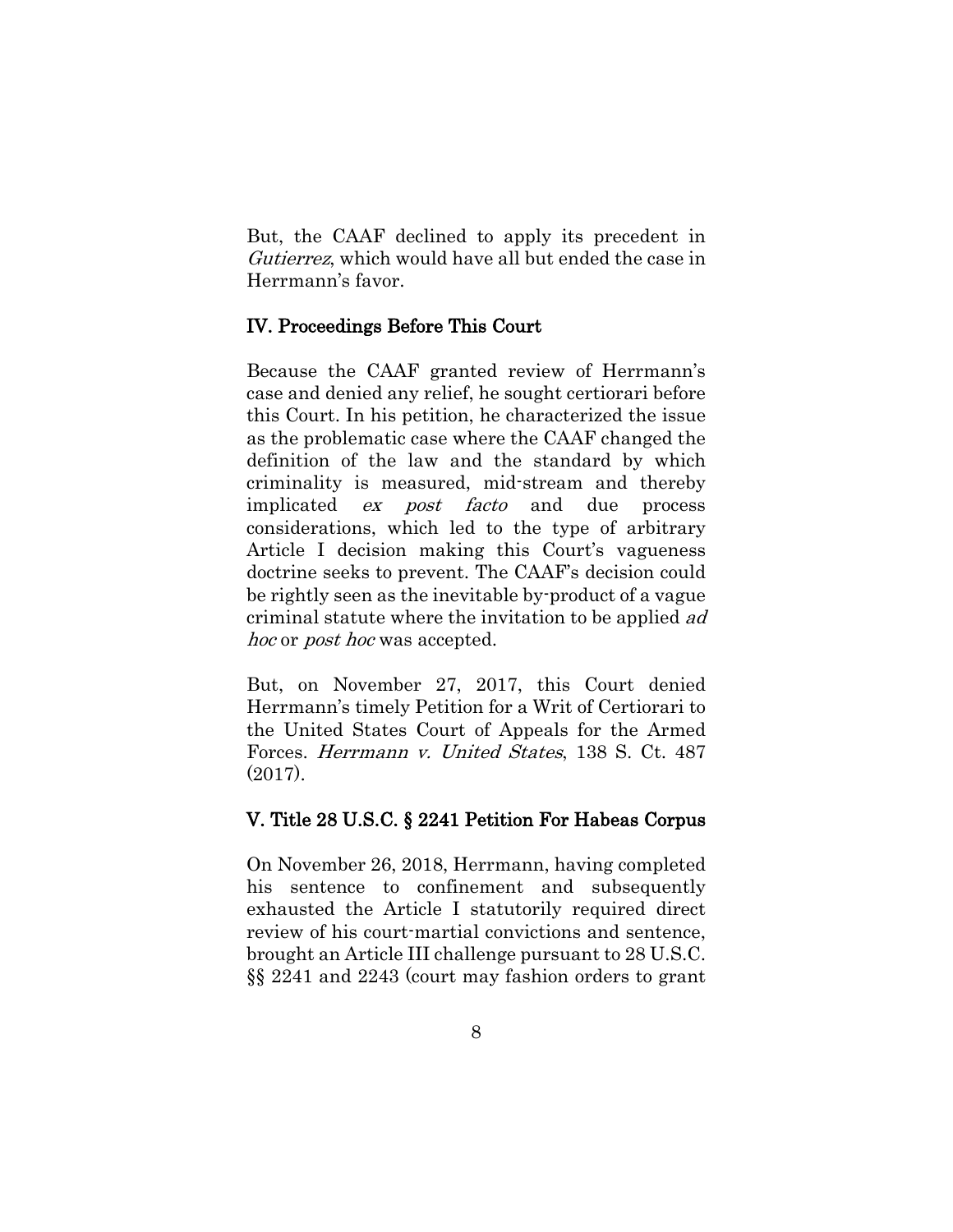But, the CAAF declined to apply its precedent in Gutierrez, which would have all but ended the case in Herrmann's favor.

# IV. Proceedings Before This Court

Because the CAAF granted review of Herrmann's case and denied any relief, he sought certiorari before this Court. In his petition, he characterized the issue as the problematic case where the CAAF changed the definition of the law and the standard by which criminality is measured, mid-stream and thereby implicated ex post facto and due process considerations, which led to the type of arbitrary Article I decision making this Court's vagueness doctrine seeks to prevent. The CAAF's decision could be rightly seen as the inevitable by-product of a vague criminal statute where the invitation to be applied ad hoc or *post hoc* was accepted.

But, on November 27, 2017, this Court denied Herrmann's timely Petition for a Writ of Certiorari to the United States Court of Appeals for the Armed Forces. Herrmann v. United States, 138 S. Ct. 487 (2017).

### V. Title 28 U.S.C. § 2241 Petition For Habeas Corpus

On November 26, 2018, Herrmann, having completed his sentence to confinement and subsequently exhausted the Article I statutorily required direct review of his court-martial convictions and sentence, brought an Article III challenge pursuant to 28 U.S.C. §§ 2241 and 2243 (court may fashion orders to grant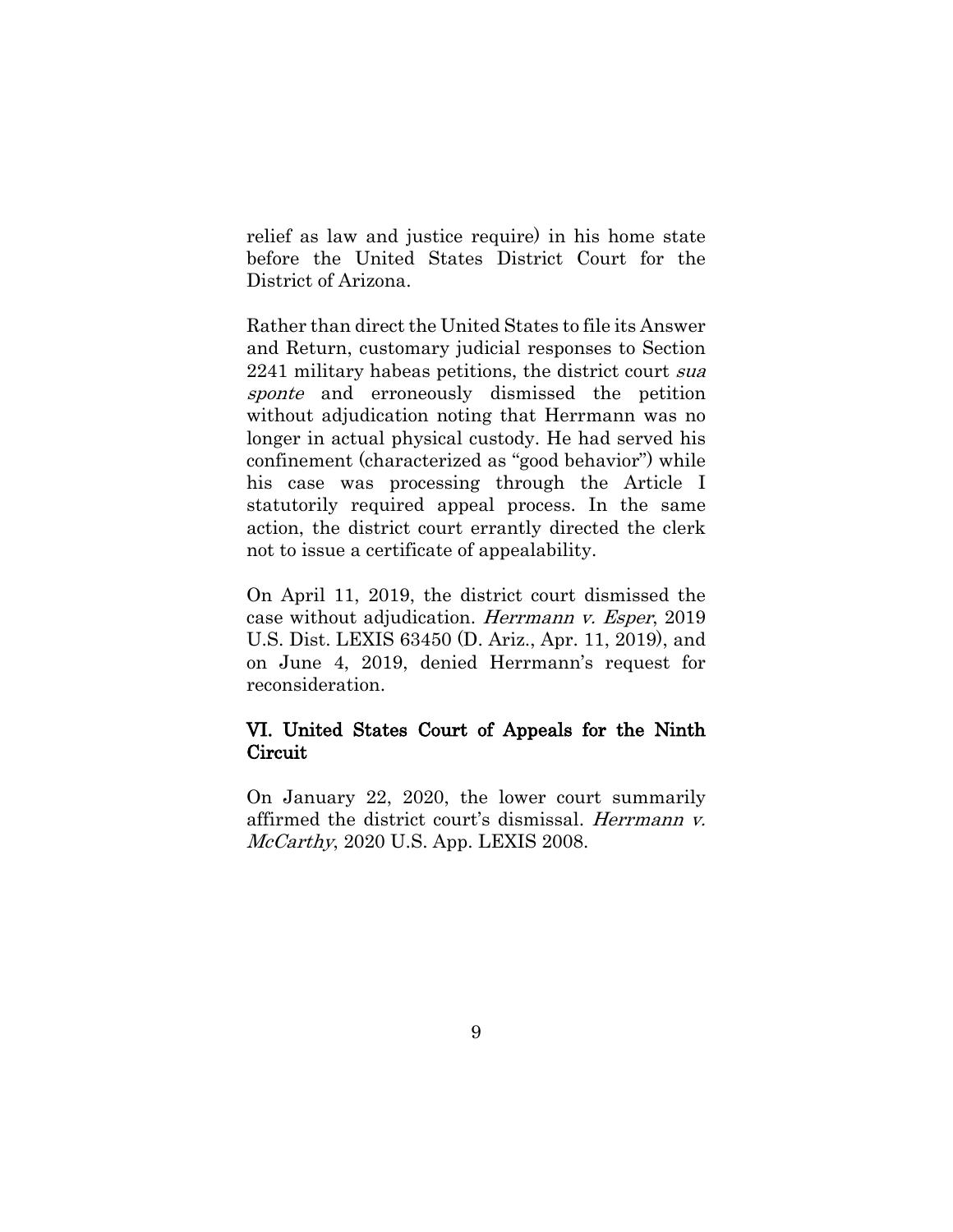relief as law and justice require) in his home state before the United States District Court for the District of Arizona.

Rather than direct the United States to file its Answer and Return, customary judicial responses to Section 2241 military habeas petitions, the district court sua sponte and erroneously dismissed the petition without adjudication noting that Herrmann was no longer in actual physical custody. He had served his confinement (characterized as "good behavior") while his case was processing through the Article I statutorily required appeal process. In the same action, the district court errantly directed the clerk not to issue a certificate of appealability.

On April 11, 2019, the district court dismissed the case without adjudication. Herrmann v. Esper, 2019 U.S. Dist. LEXIS 63450 (D. Ariz., Apr. 11, 2019), and on June 4, 2019, denied Herrmann's request for reconsideration.

# VI. United States Court of Appeals for the Ninth **Circuit**

On January 22, 2020, the lower court summarily affirmed the district court's dismissal. Herrmann v. McCarthy, 2020 U.S. App. LEXIS 2008.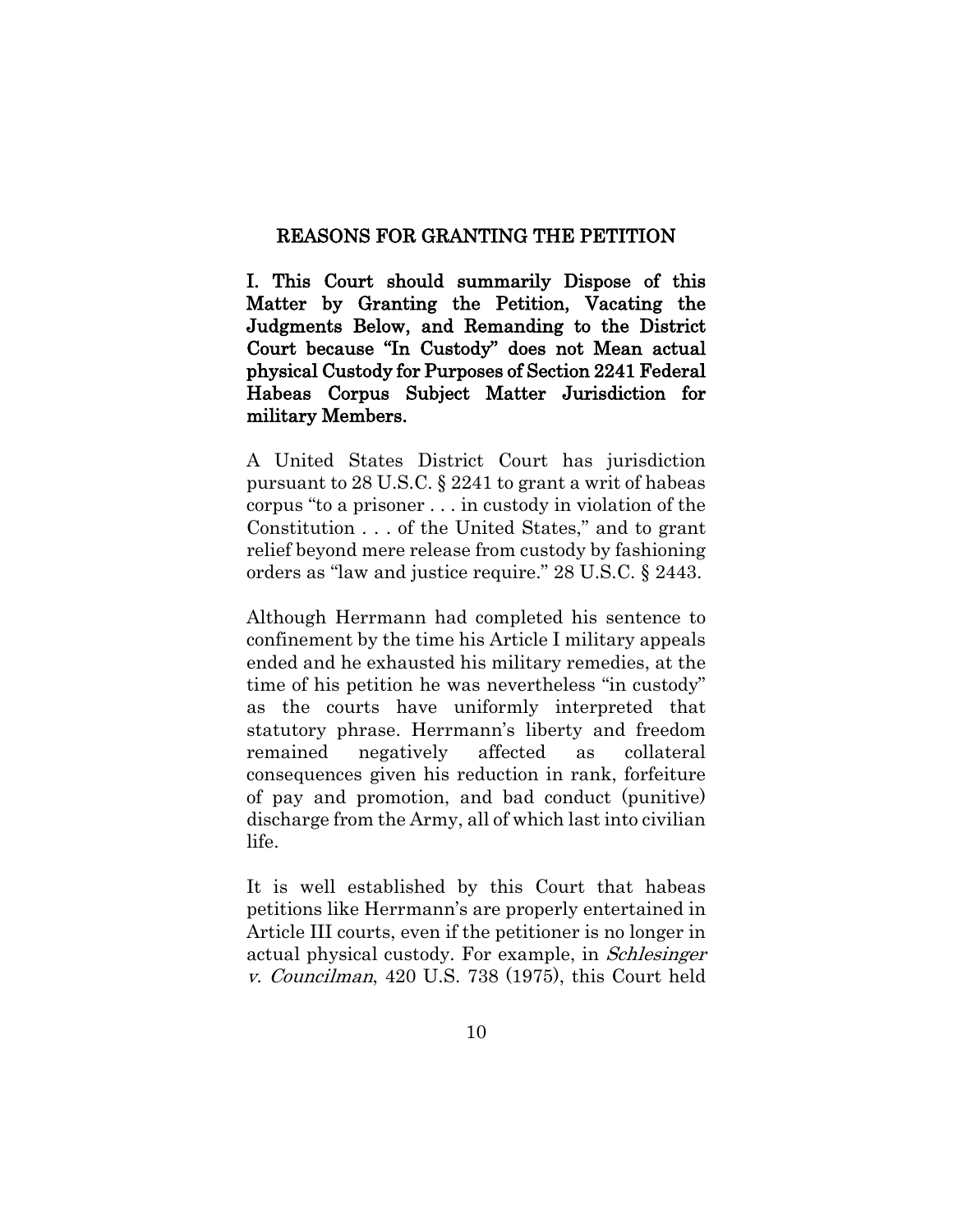#### REASONS FOR GRANTING THE PETITION

I. This Court should summarily Dispose of this Matter by Granting the Petition, Vacating the Judgments Below, and Remanding to the District Court because "In Custody" does not Mean actual physical Custody for Purposes of Section 2241 Federal Habeas Corpus Subject Matter Jurisdiction for military Members.

A United States District Court has jurisdiction pursuant to 28 U.S.C. § 2241 to grant a writ of habeas corpus "to a prisoner . . . in custody in violation of the Constitution . . . of the United States," and to grant relief beyond mere release from custody by fashioning orders as "law and justice require." 28 U.S.C. § 2443.

Although Herrmann had completed his sentence to confinement by the time his Article I military appeals ended and he exhausted his military remedies, at the time of his petition he was nevertheless "in custody" as the courts have uniformly interpreted that statutory phrase. Herrmann's liberty and freedom remained negatively affected as collateral consequences given his reduction in rank, forfeiture of pay and promotion, and bad conduct (punitive) discharge from the Army, all of which last into civilian life.

It is well established by this Court that habeas petitions like Herrmann's are properly entertained in Article III courts, even if the petitioner is no longer in actual physical custody. For example, in Schlesinger v. Councilman, 420 U.S. 738 (1975), this Court held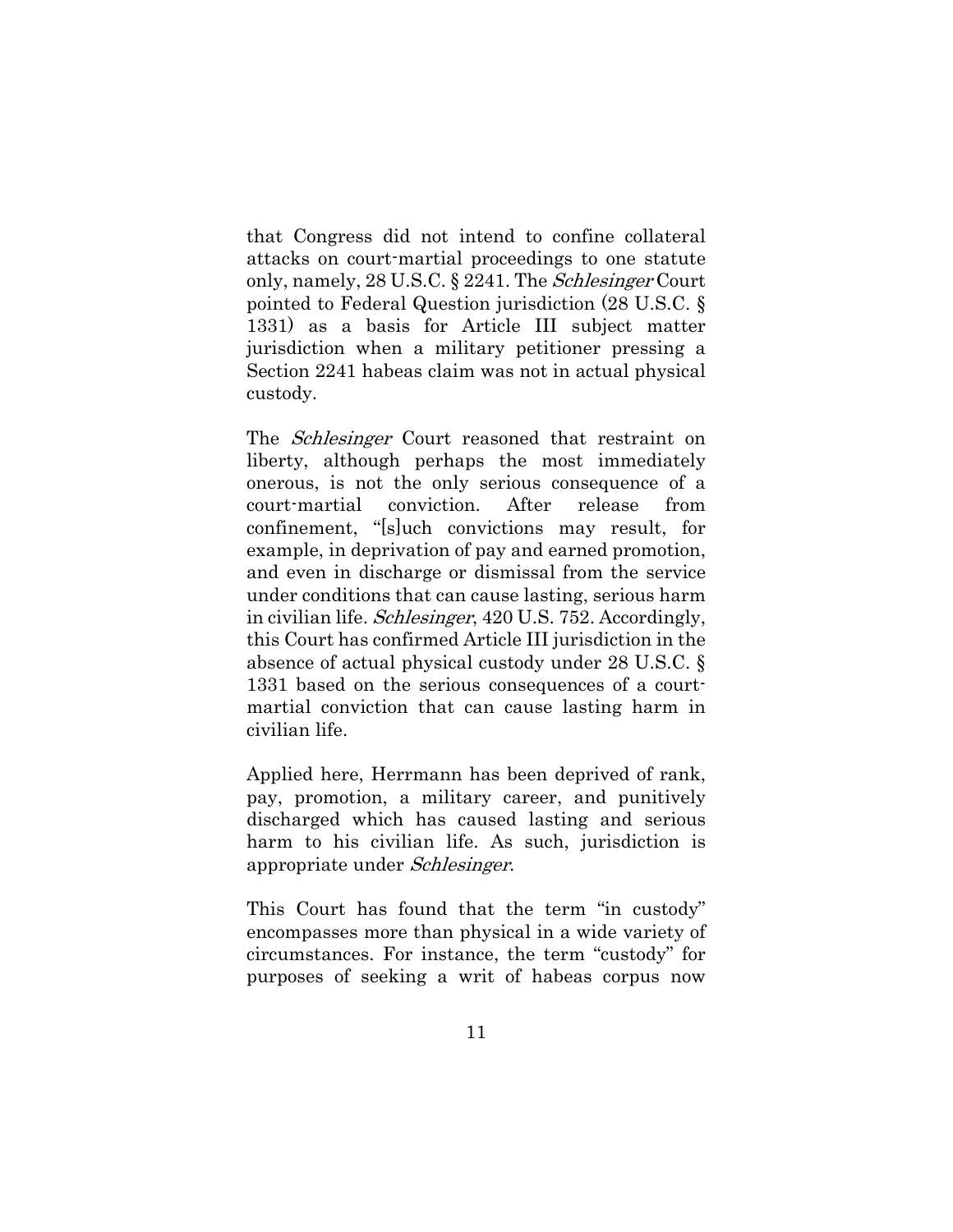that Congress did not intend to confine collateral attacks on court-martial proceedings to one statute only, namely, 28 U.S.C. § 2241. The Schlesinger Court pointed to Federal Question jurisdiction (28 U.S.C. § 1331) as a basis for Article III subject matter jurisdiction when a military petitioner pressing a Section 2241 habeas claim was not in actual physical custody.

The *Schlesinger* Court reasoned that restraint on liberty, although perhaps the most immediately onerous, is not the only serious consequence of a court-martial conviction. After release from confinement, "[s]uch convictions may result, for example, in deprivation of pay and earned promotion, and even in discharge or dismissal from the service under conditions that can cause lasting, serious harm in civilian life. Schlesinger, 420 U.S. 752. Accordingly, this Court has confirmed Article III jurisdiction in the absence of actual physical custody under 28 U.S.C. § 1331 based on the serious consequences of a courtmartial conviction that can cause lasting harm in civilian life.

Applied here, Herrmann has been deprived of rank, pay, promotion, a military career, and punitively discharged which has caused lasting and serious harm to his civilian life. As such, jurisdiction is appropriate under Schlesinger.

This Court has found that the term "in custody" encompasses more than physical in a wide variety of circumstances. For instance, the term "custody" for purposes of seeking a writ of habeas corpus now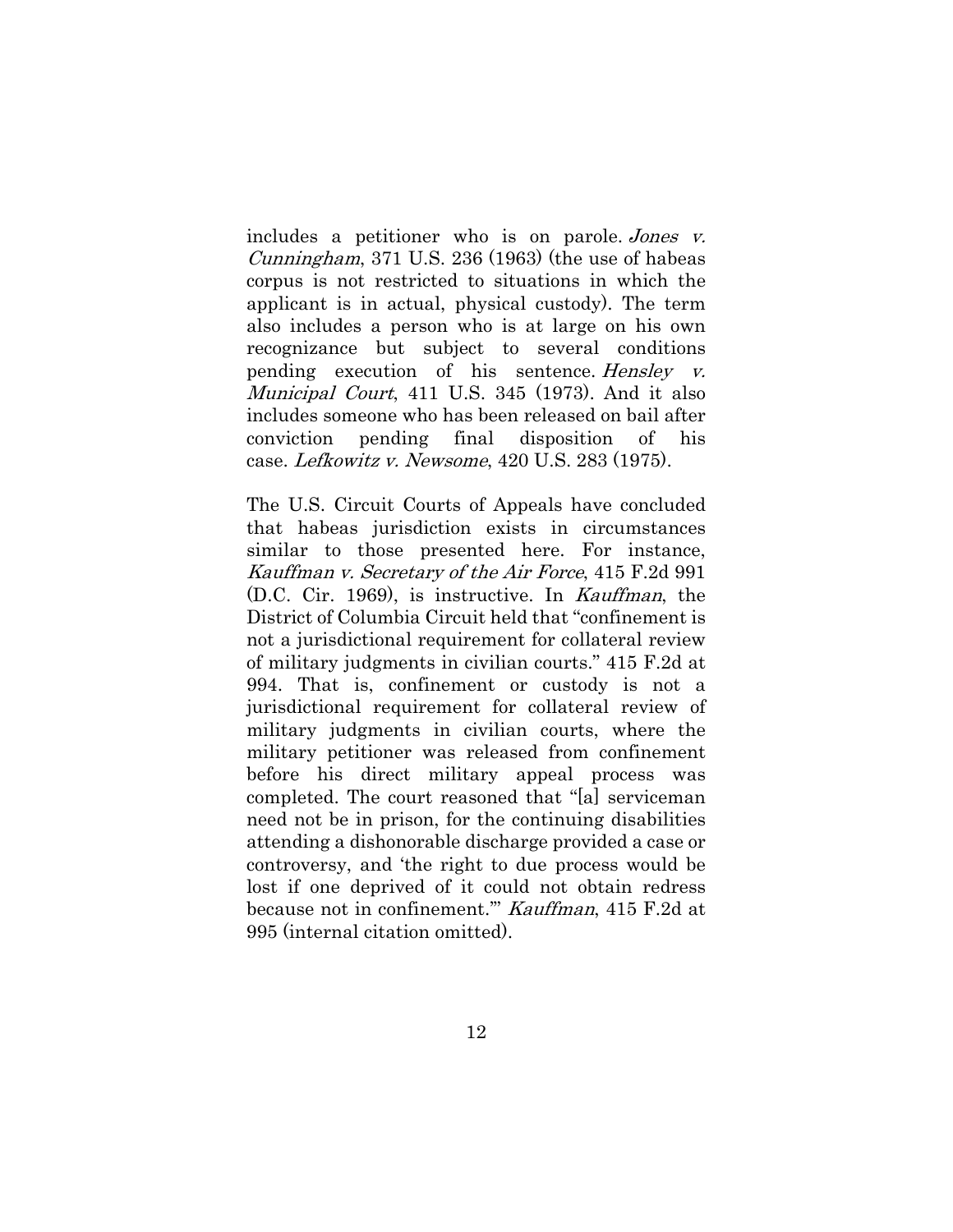includes a petitioner who is on parole. Jones v. Cunningham, 371 U.S. 236 (1963) (the use of habeas corpus is not restricted to situations in which the applicant is in actual, physical custody). The term also includes a person who is at large on his own recognizance but subject to several conditions pending execution of his sentence. Hensley v. Municipal Court, 411 U.S. 345 (1973). And it also includes someone who has been released on bail after conviction pending final disposition of his case. Lefkowitz v. Newsome, 420 U.S. 283 (1975).

The U.S. Circuit Courts of Appeals have concluded that habeas jurisdiction exists in circumstances similar to those presented here. For instance, Kauffman v. Secretary of the Air Force, 415 F.2d 991 (D.C. Cir. 1969), is instructive. In Kauffman, the District of Columbia Circuit held that "confinement is not a jurisdictional requirement for collateral review of military judgments in civilian courts." 415 F.2d at 994. That is, confinement or custody is not a jurisdictional requirement for collateral review of military judgments in civilian courts, where the military petitioner was released from confinement before his direct military appeal process was completed. The court reasoned that "[a] serviceman need not be in prison, for the continuing disabilities attending a dishonorable discharge provided a case or controversy, and 'the right to due process would be lost if one deprived of it could not obtain redress because not in confinement.'" Kauffman, 415 F.2d at 995 (internal citation omitted).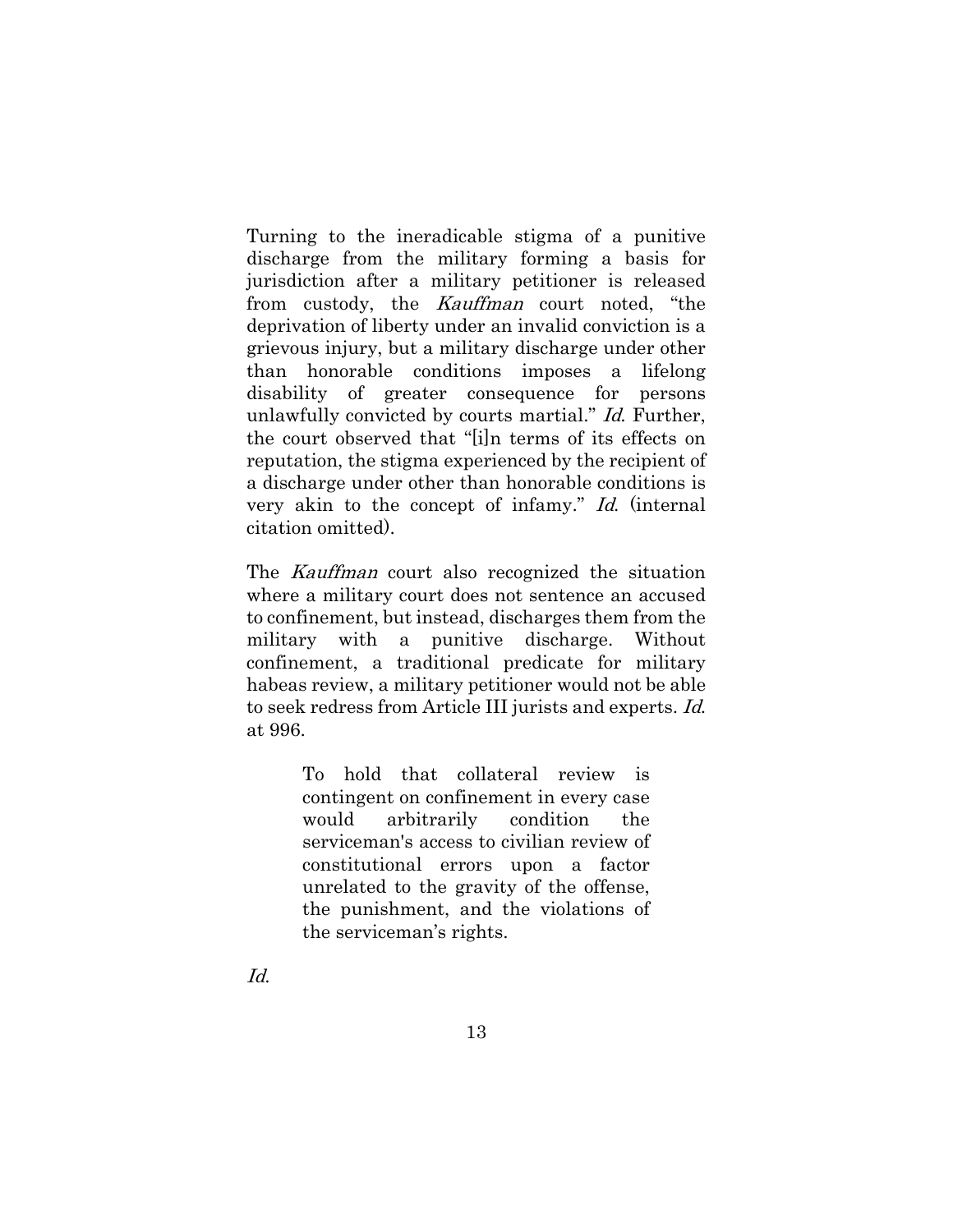Turning to the ineradicable stigma of a punitive discharge from the military forming a basis for jurisdiction after a military petitioner is released from custody, the Kauffman court noted, "the deprivation of liberty under an invalid conviction is a grievous injury, but a military discharge under other than honorable conditions imposes a lifelong disability of greater consequence for persons unlawfully convicted by courts martial." Id. Further, the court observed that "[i]n terms of its effects on reputation, the stigma experienced by the recipient of a discharge under other than honorable conditions is very akin to the concept of infamy." Id. (internal citation omitted).

The Kauffman court also recognized the situation where a military court does not sentence an accused to confinement, but instead, discharges them from the military with a punitive discharge. Without confinement, a traditional predicate for military habeas review, a military petitioner would not be able to seek redress from Article III jurists and experts. Id. at 996.

> To hold that collateral review is contingent on confinement in every case would arbitrarily condition the serviceman's access to civilian review of constitutional errors upon a factor unrelated to the gravity of the offense, the punishment, and the violations of the serviceman's rights.

Id.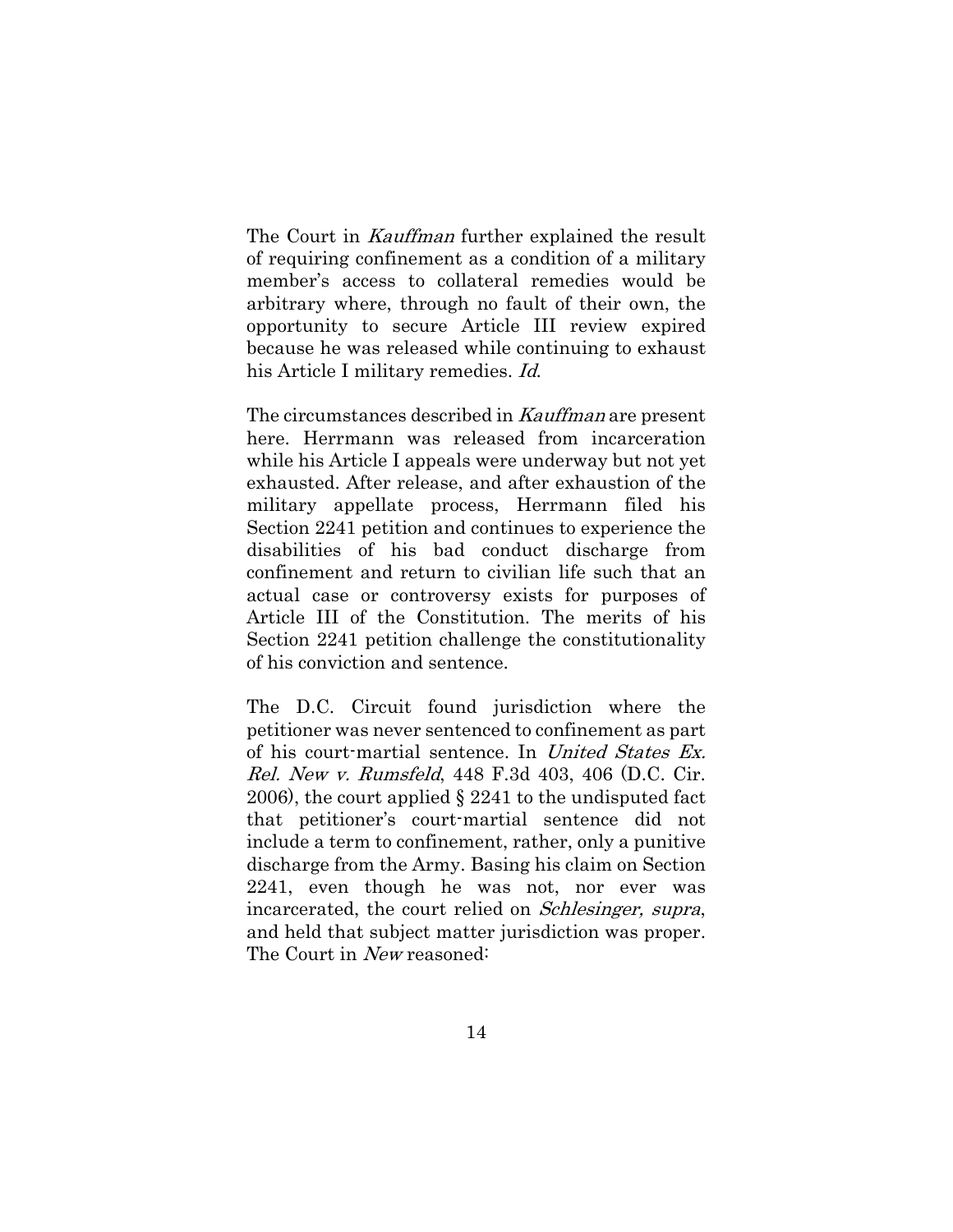The Court in Kauffman further explained the result of requiring confinement as a condition of a military member's access to collateral remedies would be arbitrary where, through no fault of their own, the opportunity to secure Article III review expired because he was released while continuing to exhaust his Article I military remedies. Id.

The circumstances described in Kauffman are present here. Herrmann was released from incarceration while his Article I appeals were underway but not yet exhausted. After release, and after exhaustion of the military appellate process, Herrmann filed his Section 2241 petition and continues to experience the disabilities of his bad conduct discharge from confinement and return to civilian life such that an actual case or controversy exists for purposes of Article III of the Constitution. The merits of his Section 2241 petition challenge the constitutionality of his conviction and sentence.

The D.C. Circuit found jurisdiction where the petitioner was never sentenced to confinement as part of his court-martial sentence. In United States Ex. Rel. New v. Rumsfeld, 448 F.3d 403, 406 (D.C. Cir. 2006), the court applied § 2241 to the undisputed fact that petitioner's court-martial sentence did not include a term to confinement, rather, only a punitive discharge from the Army. Basing his claim on Section 2241, even though he was not, nor ever was incarcerated, the court relied on Schlesinger, supra, and held that subject matter jurisdiction was proper. The Court in New reasoned: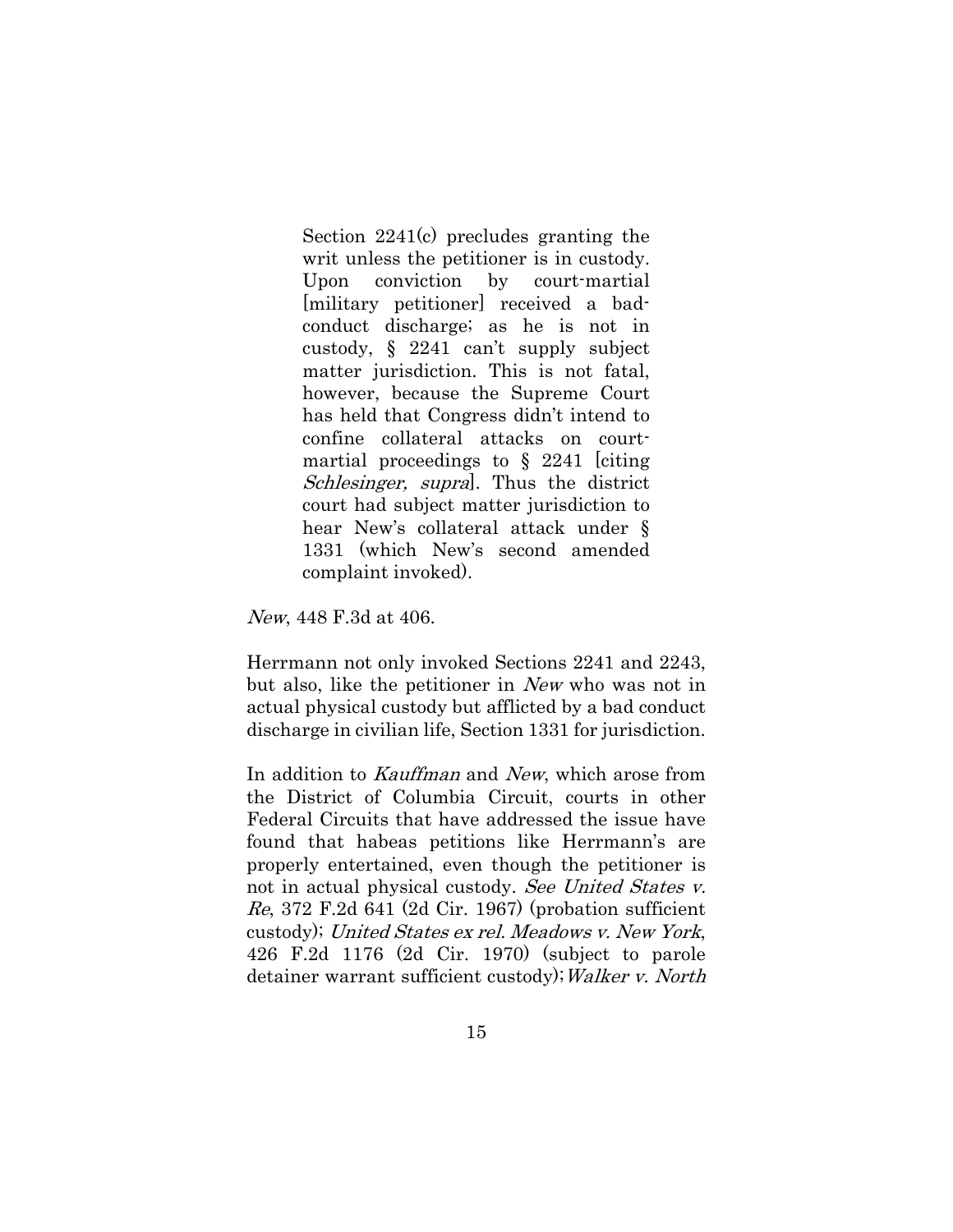Section 2241(c) precludes granting the writ unless the petitioner is in custody. Upon conviction by court-martial [military petitioner] received a badconduct discharge; as he is not in custody, § 2241 can't supply subject matter jurisdiction. This is not fatal, however, because the Supreme Court has held that Congress didn't intend to confine collateral attacks on courtmartial proceedings to  $\S$  2241 [citing] Schlesinger, supral. Thus the district court had subject matter jurisdiction to hear New's collateral attack under § 1331 (which New's second amended complaint invoked).

New, 448 F.3d at 406.

Herrmann not only invoked Sections 2241 and 2243, but also, like the petitioner in New who was not in actual physical custody but afflicted by a bad conduct discharge in civilian life, Section 1331 for jurisdiction.

In addition to Kauffman and New, which arose from the District of Columbia Circuit, courts in other Federal Circuits that have addressed the issue have found that habeas petitions like Herrmann's are properly entertained, even though the petitioner is not in actual physical custody. See United States v.  $Re, 372$  F.2d 641 (2d Cir. 1967) (probation sufficient custody); United States ex rel. Meadows v. New York, 426 F.2d 1176 (2d Cir. 1970) (subject to parole detainer warrant sufficient custody); Walker v. North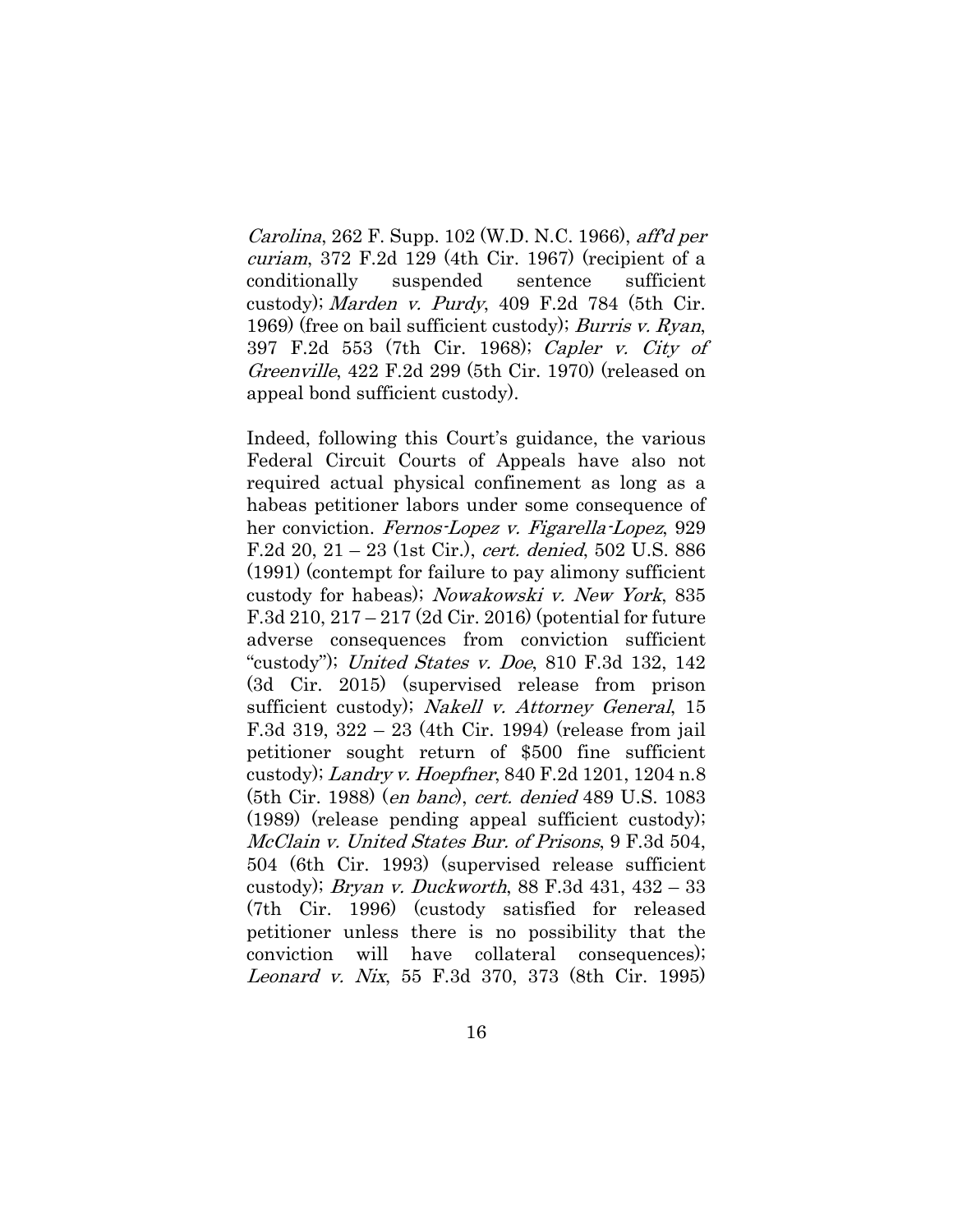Carolina, 262 F. Supp. 102 (W.D. N.C. 1966), aff'd per curiam, 372 F.2d 129 (4th Cir. 1967) (recipient of a conditionally suspended sentence sufficient custody); Marden v. Purdy, 409 F.2d 784 (5th Cir. 1969) (free on bail sufficient custody); *Burris v. Ryan*, 397 F.2d 553 (7th Cir. 1968); Capler v. City of Greenville, 422 F.2d 299 (5th Cir. 1970) (released on appeal bond sufficient custody).

Indeed, following this Court's guidance, the various Federal Circuit Courts of Appeals have also not required actual physical confinement as long as a habeas petitioner labors under some consequence of her conviction. Fernos-Lopez v. Figarella-Lopez, 929 F.2d 20, 21 – 23 (1st Cir.), cert. denied, 502 U.S. 886 (1991) (contempt for failure to pay alimony sufficient custody for habeas); Nowakowski v. New York, 835 F.3d 210, 217 – 217 (2d Cir. 2016) (potential for future adverse consequences from conviction sufficient "custody"); *United States v. Doe*, 810 F.3d 132, 142 (3d Cir. 2015) (supervised release from prison sufficient custody); Nakell v. Attorney General, 15 F.3d 319, 322 – 23 (4th Cir. 1994) (release from jail petitioner sought return of \$500 fine sufficient custody); Landry v. Hoepfner, 840 F.2d 1201, 1204 n.8 (5th Cir. 1988) (en banc), cert. denied 489 U.S. 1083 (1989) (release pending appeal sufficient custody); McClain v. United States Bur. of Prisons, 9 F.3d 504, 504 (6th Cir. 1993) (supervised release sufficient custody); *Bryan v. Duckworth*, 88 F.3d 431, 432 – 33 (7th Cir. 1996) (custody satisfied for released petitioner unless there is no possibility that the conviction will have collateral consequences); Leonard v. Nix, 55 F.3d 370, 373 (8th Cir. 1995)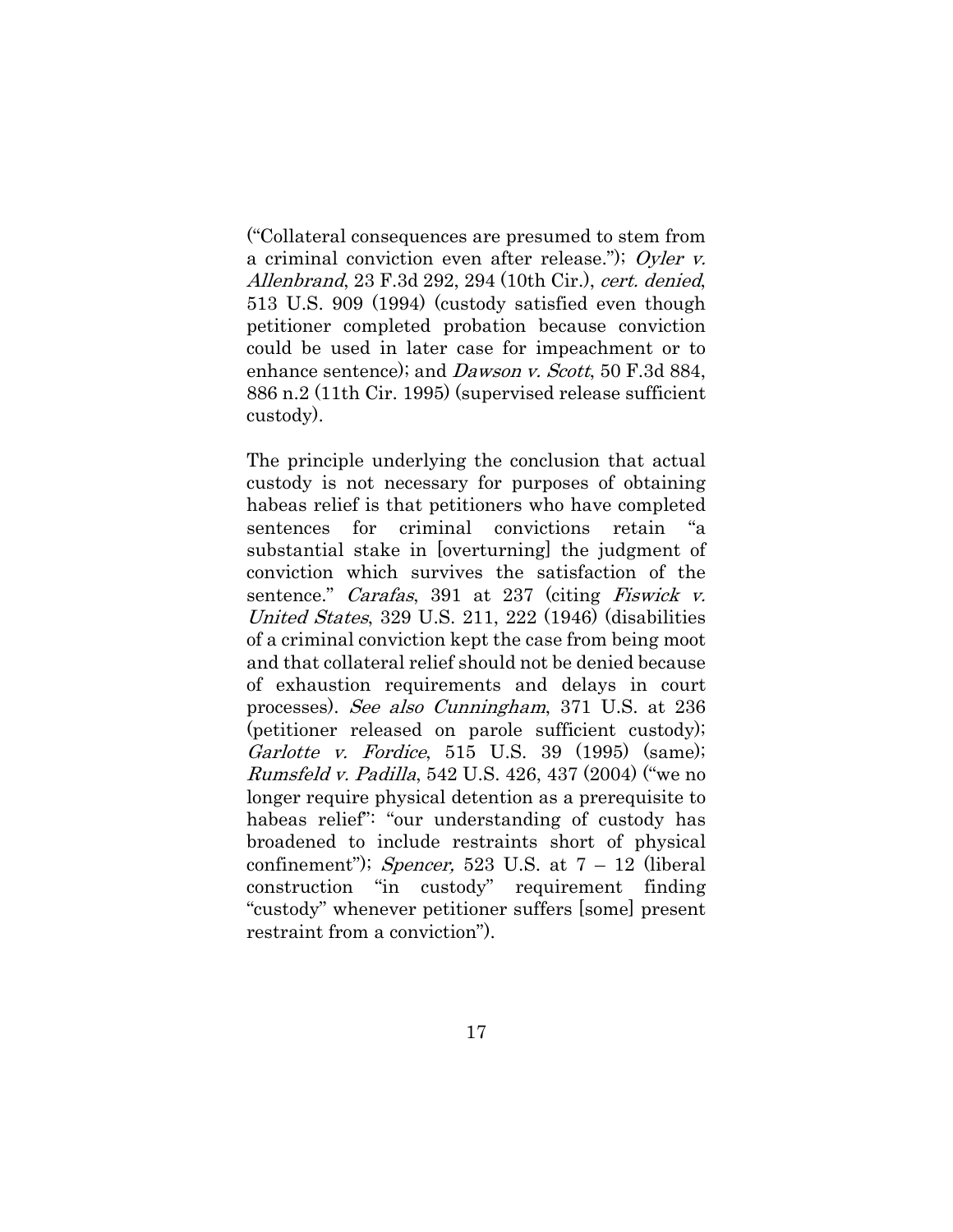("Collateral consequences are presumed to stem from a criminal conviction even after release."); Oyler v. Allenbrand, 23 F.3d 292, 294 (10th Cir.), cert. denied, 513 U.S. 909 (1994) (custody satisfied even though petitioner completed probation because conviction could be used in later case for impeachment or to enhance sentence); and *Dawson v. Scott*, 50 F.3d 884, 886 n.2 (11th Cir. 1995) (supervised release sufficient custody).

The principle underlying the conclusion that actual custody is not necessary for purposes of obtaining habeas relief is that petitioners who have completed sentences for criminal convictions retain "a substantial stake in [overturning] the judgment of conviction which survives the satisfaction of the sentence." *Carafas*, 391 at 237 (citing *Fiswick v.*) United States, 329 U.S. 211, 222 (1946) (disabilities of a criminal conviction kept the case from being moot and that collateral relief should not be denied because of exhaustion requirements and delays in court processes). See also Cunningham, 371 U.S. at 236 (petitioner released on parole sufficient custody); Garlotte v. Fordice, 515 U.S. 39 (1995) (same); Rumsfeld v. Padilla, 542 U.S. 426, 437 (2004) ("we no longer require physical detention as a prerequisite to habeas relief": "our understanding of custody has broadened to include restraints short of physical confinement"); Spencer, 523 U.S. at  $7 - 12$  (liberal construction "in custody" requirement finding "custody" whenever petitioner suffers [some] present restraint from a conviction").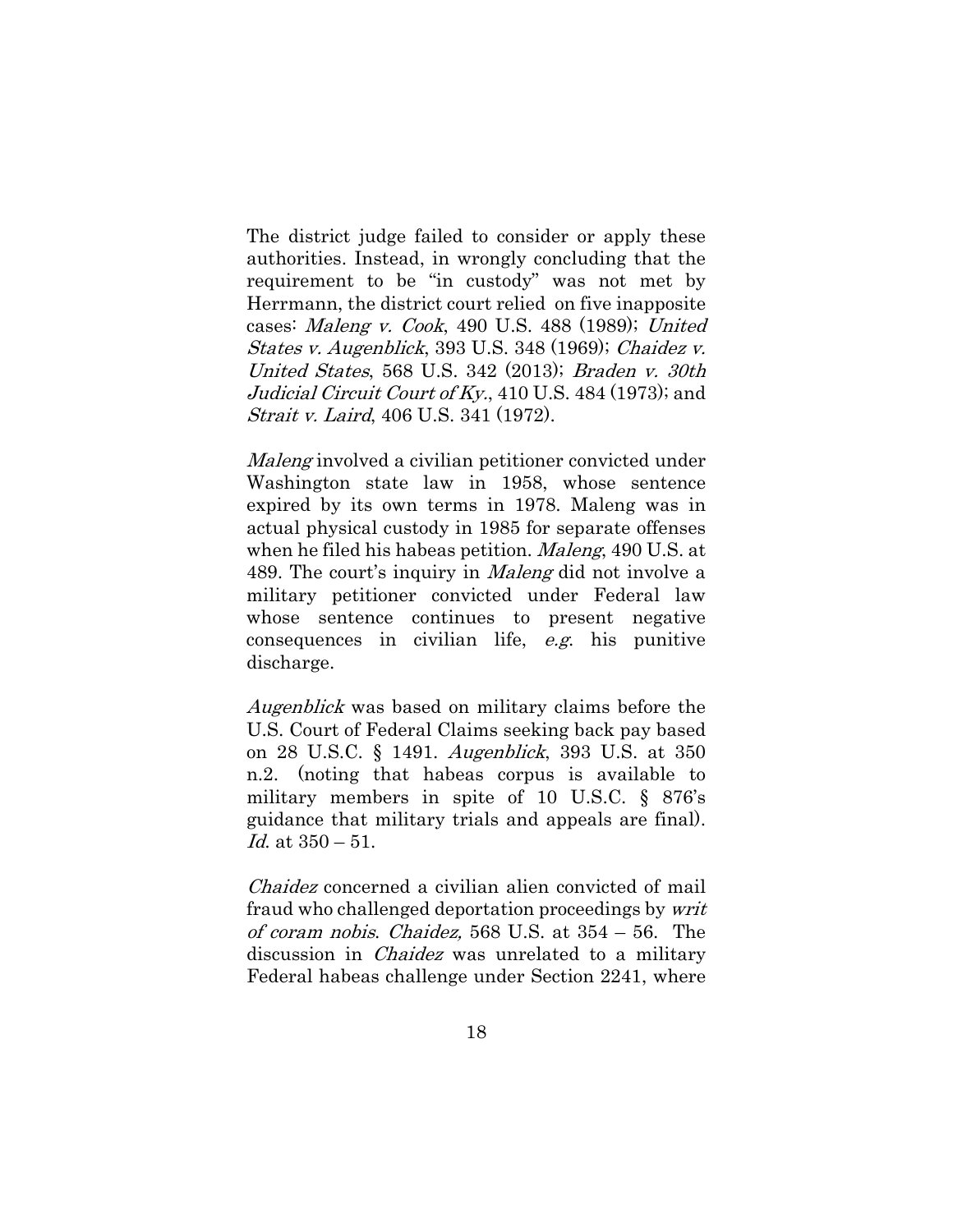The district judge failed to consider or apply these authorities. Instead, in wrongly concluding that the requirement to be "in custody" was not met by Herrmann, the district court relied on five inapposite cases: Maleng v. Cook, 490 U.S. 488 (1989); United States v. Augenblick, 393 U.S. 348 (1969); Chaidez v. United States, 568 U.S. 342 (2013); Braden v. 30th Judicial Circuit Court of Ky., 410 U.S. 484 (1973); and Strait v. Laird, 406 U.S. 341 (1972).

Maleng involved a civilian petitioner convicted under Washington state law in 1958, whose sentence expired by its own terms in 1978. Maleng was in actual physical custody in 1985 for separate offenses when he filed his habeas petition. Maleng, 490 U.S. at 489. The court's inquiry in *Maleng* did not involve a military petitioner convicted under Federal law whose sentence continues to present negative consequences in civilian life, e.g. his punitive discharge.

Augenblick was based on military claims before the U.S. Court of Federal Claims seeking back pay based on 28 U.S.C. § 1491. Augenblick, 393 U.S. at 350 n.2. (noting that habeas corpus is available to military members in spite of 10 U.S.C. § 876's guidance that military trials and appeals are final). *Id.* at  $350 - 51$ .

Chaidez concerned a civilian alien convicted of mail fraud who challenged deportation proceedings by writ of coram nobis. Chaidez, 568 U.S. at 354 – 56. The discussion in *Chaidez* was unrelated to a military Federal habeas challenge under Section 2241, where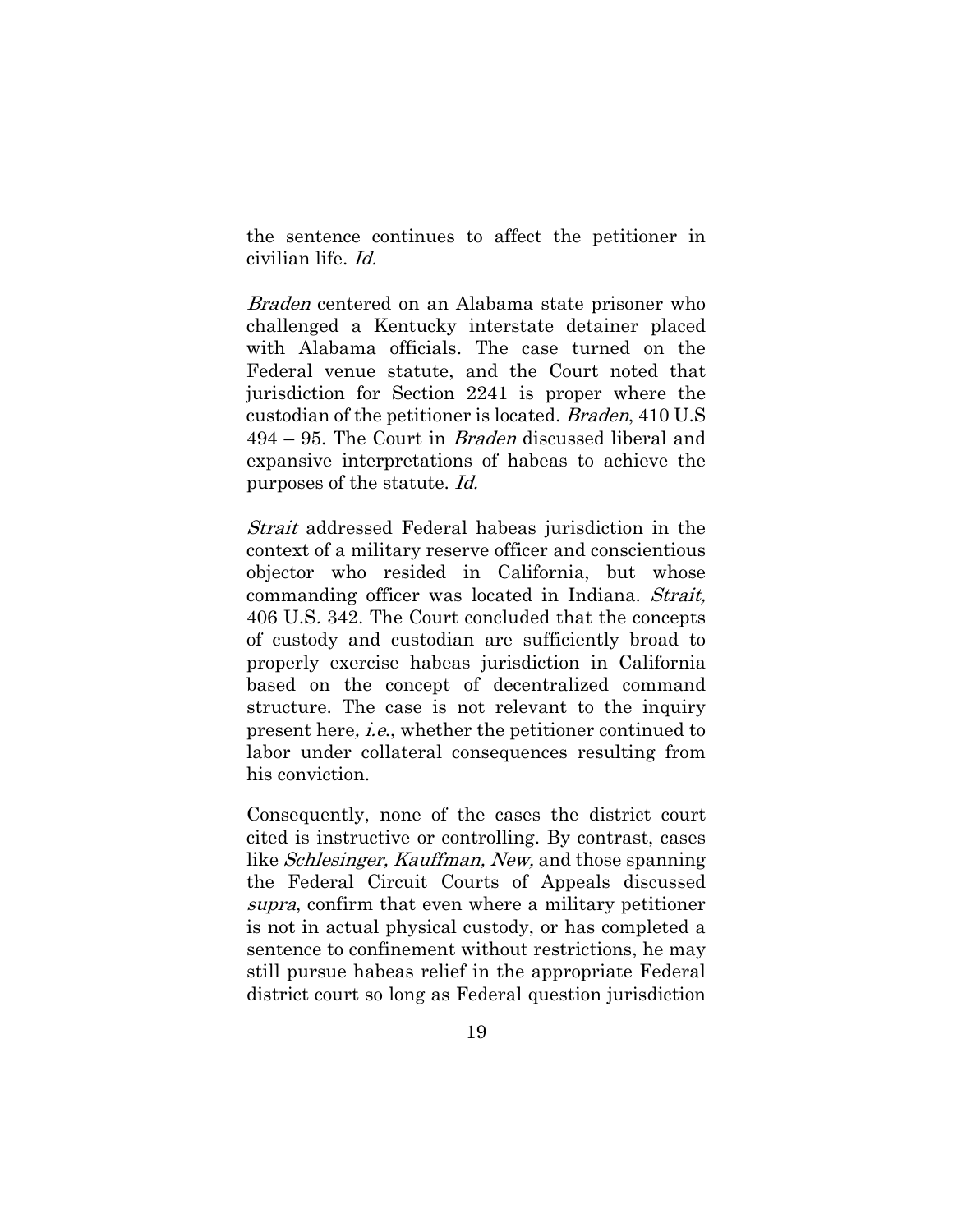the sentence continues to affect the petitioner in civilian life. Id.

Braden centered on an Alabama state prisoner who challenged a Kentucky interstate detainer placed with Alabama officials. The case turned on the Federal venue statute, and the Court noted that jurisdiction for Section 2241 is proper where the custodian of the petitioner is located. Braden, 410 U.S 494 – 95. The Court in Braden discussed liberal and expansive interpretations of habeas to achieve the purposes of the statute. Id.

Strait addressed Federal habeas jurisdiction in the context of a military reserve officer and conscientious objector who resided in California, but whose commanding officer was located in Indiana. Strait, 406 U.S. 342. The Court concluded that the concepts of custody and custodian are sufficiently broad to properly exercise habeas jurisdiction in California based on the concept of decentralized command structure. The case is not relevant to the inquiry present here, i.e., whether the petitioner continued to labor under collateral consequences resulting from his conviction.

Consequently, none of the cases the district court cited is instructive or controlling. By contrast, cases like *Schlesinger, Kauffman, New*, and those spanning the Federal Circuit Courts of Appeals discussed supra, confirm that even where a military petitioner is not in actual physical custody, or has completed a sentence to confinement without restrictions, he may still pursue habeas relief in the appropriate Federal district court so long as Federal question jurisdiction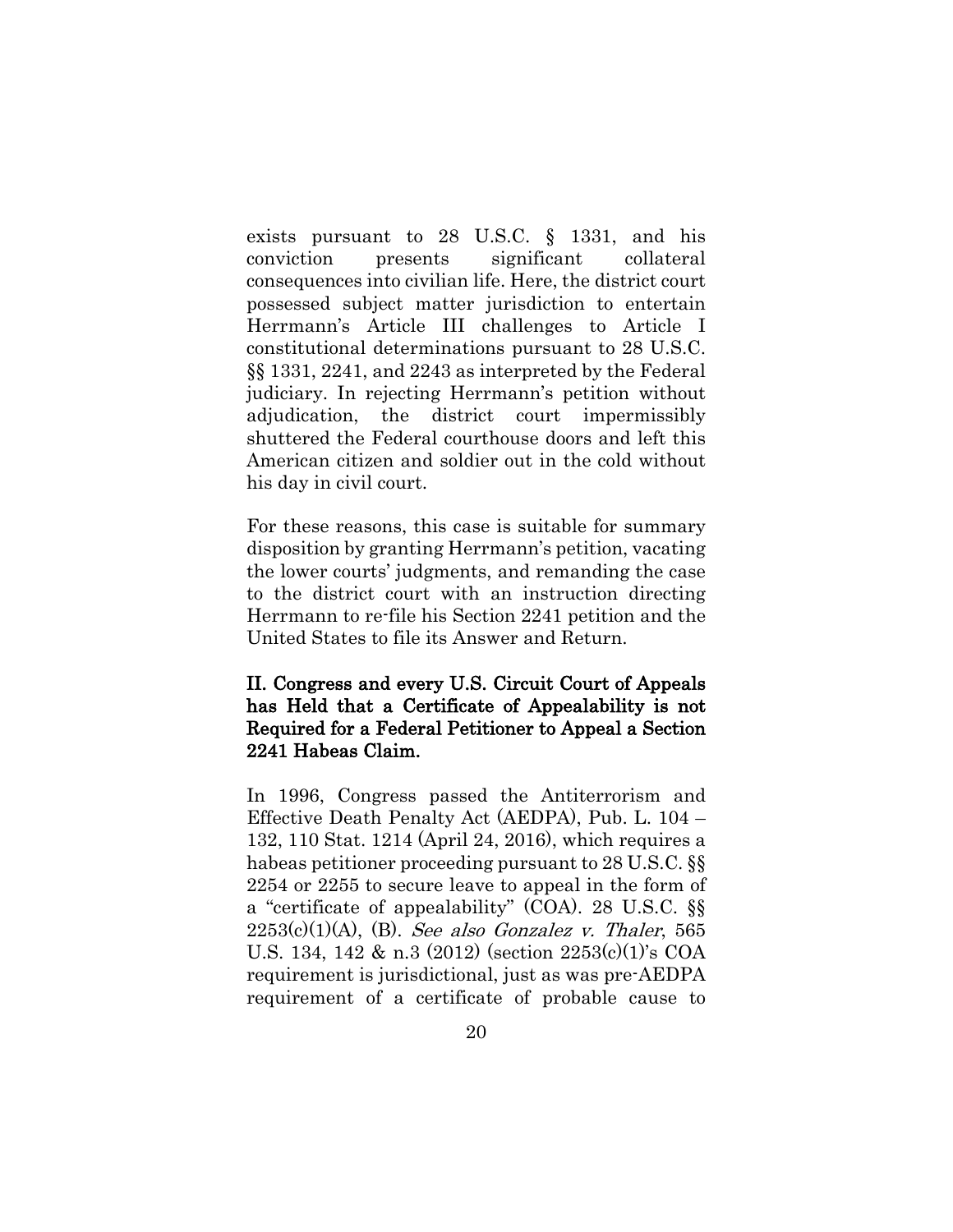exists pursuant to 28 U.S.C. § 1331, and his conviction presents significant collateral consequences into civilian life. Here, the district court possessed subject matter jurisdiction to entertain Herrmann's Article III challenges to Article I constitutional determinations pursuant to 28 U.S.C. §§ 1331, 2241, and 2243 as interpreted by the Federal judiciary. In rejecting Herrmann's petition without adjudication, the district court impermissibly shuttered the Federal courthouse doors and left this American citizen and soldier out in the cold without his day in civil court.

For these reasons, this case is suitable for summary disposition by granting Herrmann's petition, vacating the lower courts' judgments, and remanding the case to the district court with an instruction directing Herrmann to re-file his Section 2241 petition and the United States to file its Answer and Return.

# II. Congress and every U.S. Circuit Court of Appeals has Held that a Certificate of Appealability is not Required for a Federal Petitioner to Appeal a Section 2241 Habeas Claim.

In 1996, Congress passed the Antiterrorism and Effective Death Penalty Act (AEDPA), Pub. L. 104 – 132, 110 Stat. 1214 (April 24, 2016), which requires a habeas petitioner proceeding pursuant to 28 U.S.C. §§ 2254 or 2255 to secure leave to appeal in the form of a "certificate of appealability" (COA). 28 U.S.C. §§  $2253(c)(1)(A)$ , (B). See also Gonzalez v. Thaler, 565 U.S. 134, 142 & n.3 (2012) (section 2253(c)(1)'s COA requirement is jurisdictional, just as was pre-AEDPA requirement of a certificate of probable cause to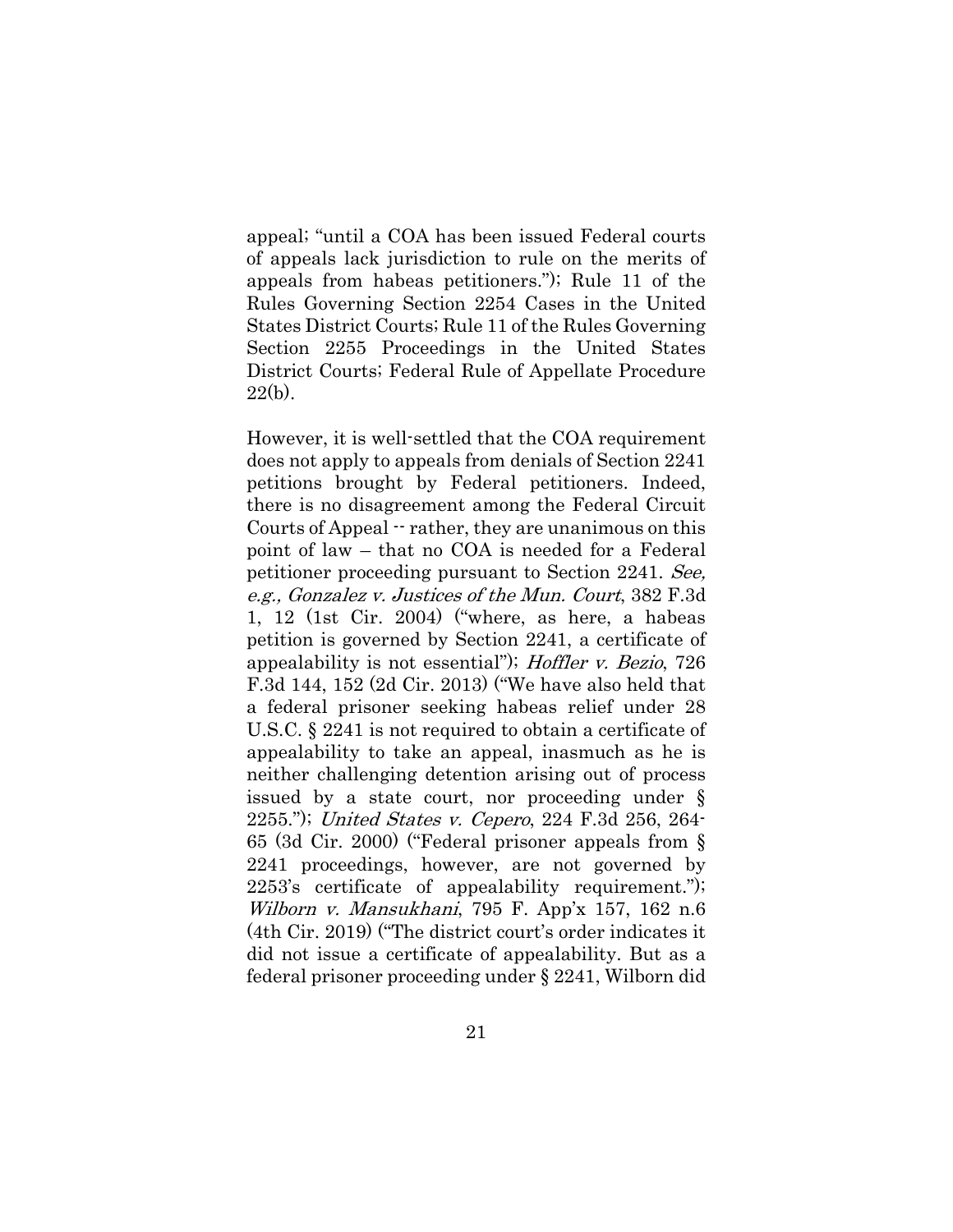appeal; "until a COA has been issued Federal courts of appeals lack jurisdiction to rule on the merits of appeals from habeas petitioners."); Rule 11 of the Rules Governing Section 2254 Cases in the United States District Courts; Rule 11 of the Rules Governing Section 2255 Proceedings in the United States District Courts; Federal Rule of Appellate Procedure  $22(b)$ .

However, it is well-settled that the COA requirement does not apply to appeals from denials of Section 2241 petitions brought by Federal petitioners. Indeed, there is no disagreement among the Federal Circuit Courts of Appeal  $\cdot\cdot$  rather, they are unanimous on this point of law – that no COA is needed for a Federal petitioner proceeding pursuant to Section 2241. See, e.g., Gonzalez v. Justices of the Mun. Court, 382 F.3d 1, 12 (1st Cir. 2004) ("where, as here, a habeas petition is governed by Section 2241, a certificate of appealability is not essential"); Hoffler v. Bezio, 726 F.3d 144, 152 (2d Cir. 2013) ("We have also held that a federal prisoner seeking habeas relief under 28 U.S.C. § 2241 is not required to obtain a certificate of appealability to take an appeal, inasmuch as he is neither challenging detention arising out of process issued by a state court, nor proceeding under § 2255."); United States v. Cepero, 224 F.3d 256, 264- 65 (3d Cir. 2000) ("Federal prisoner appeals from § 2241 proceedings, however, are not governed by 2253's certificate of appealability requirement."); Wilborn v. Mansukhani, 795 F. App'x 157, 162 n.6 (4th Cir. 2019) ("The district court's order indicates it did not issue a certificate of appealability. But as a federal prisoner proceeding under § 2241, Wilborn did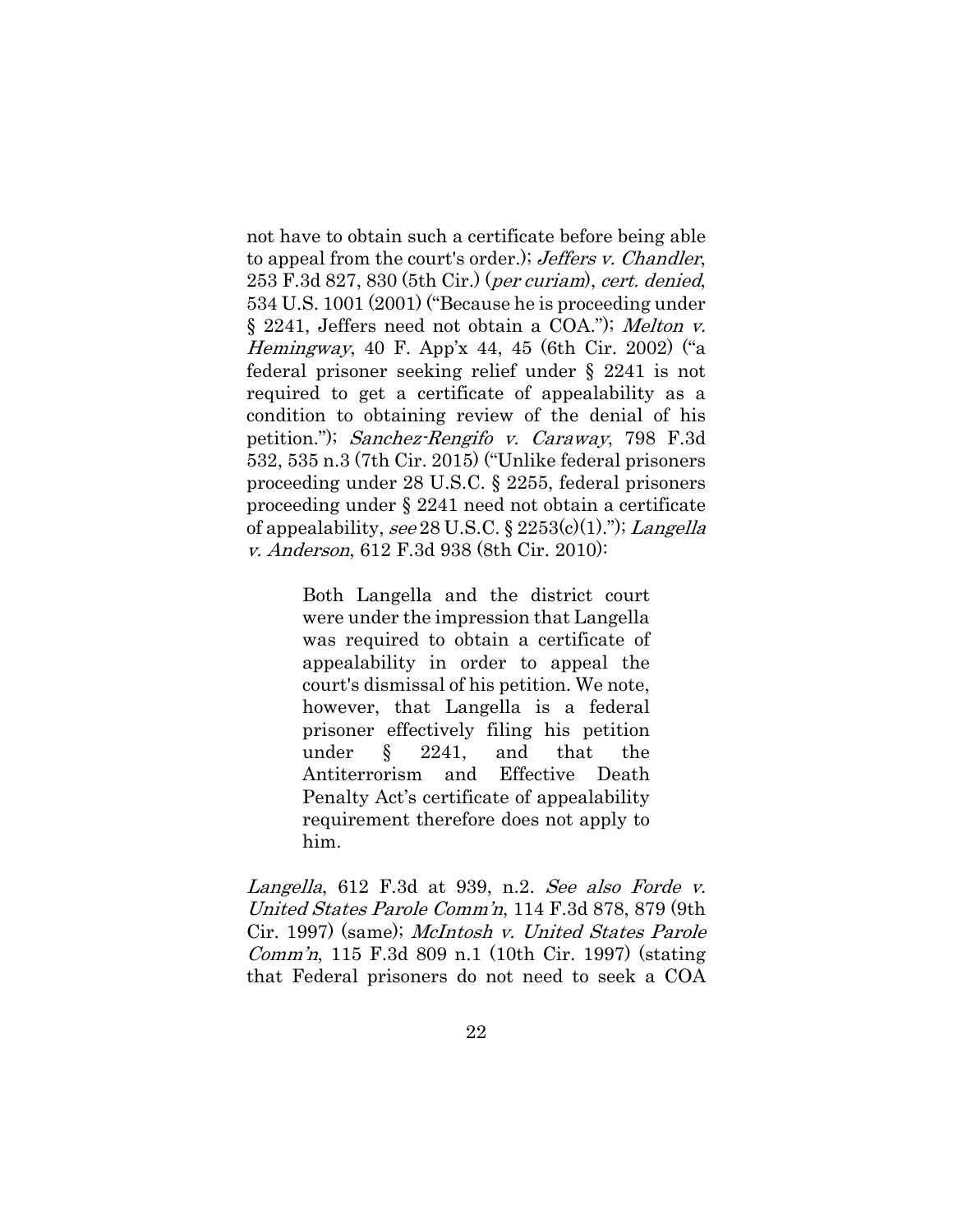not have to obtain such a certificate before being able to appeal from the court's order.); Jeffers v. Chandler, 253 F.3d 827, 830 (5th Cir.) (per curiam), cert. denied, 534 U.S. 1001 (2001) ("Because he is proceeding under § 2241, Jeffers need not obtain a COA."); Melton v. Hemingway, 40 F. App'x 44, 45 (6th Cir. 2002) ("a federal prisoner seeking relief under § 2241 is not required to get a certificate of appealability as a condition to obtaining review of the denial of his petition."); Sanchez-Rengifo v. Caraway, 798 F.3d 532, 535 n.3 (7th Cir. 2015) ("Unlike federal prisoners proceeding under 28 U.S.C. § 2255, federal prisoners proceeding under § 2241 need not obtain a certificate of appealability, see 28 U.S.C.  $\S 2253(c)(1)$ ."); Langella v. Anderson, 612 F.3d 938 (8th Cir. 2010):

> Both Langella and the district court were under the impression that Langella was required to obtain a certificate of appealability in order to appeal the court's dismissal of his petition. We note, however, that Langella is a federal prisoner effectively filing his petition under § 2241, and that the Antiterrorism and Effective Death Penalty Act's certificate of appealability requirement therefore does not apply to him.

Langella, 612 F.3d at 939, n.2. See also Forde v. United States Parole Comm'n, 114 F.3d 878, 879 (9th Cir. 1997) (same); McIntosh v. United States Parole Comm'n, 115 F.3d 809 n.1 (10th Cir. 1997) (stating that Federal prisoners do not need to seek a COA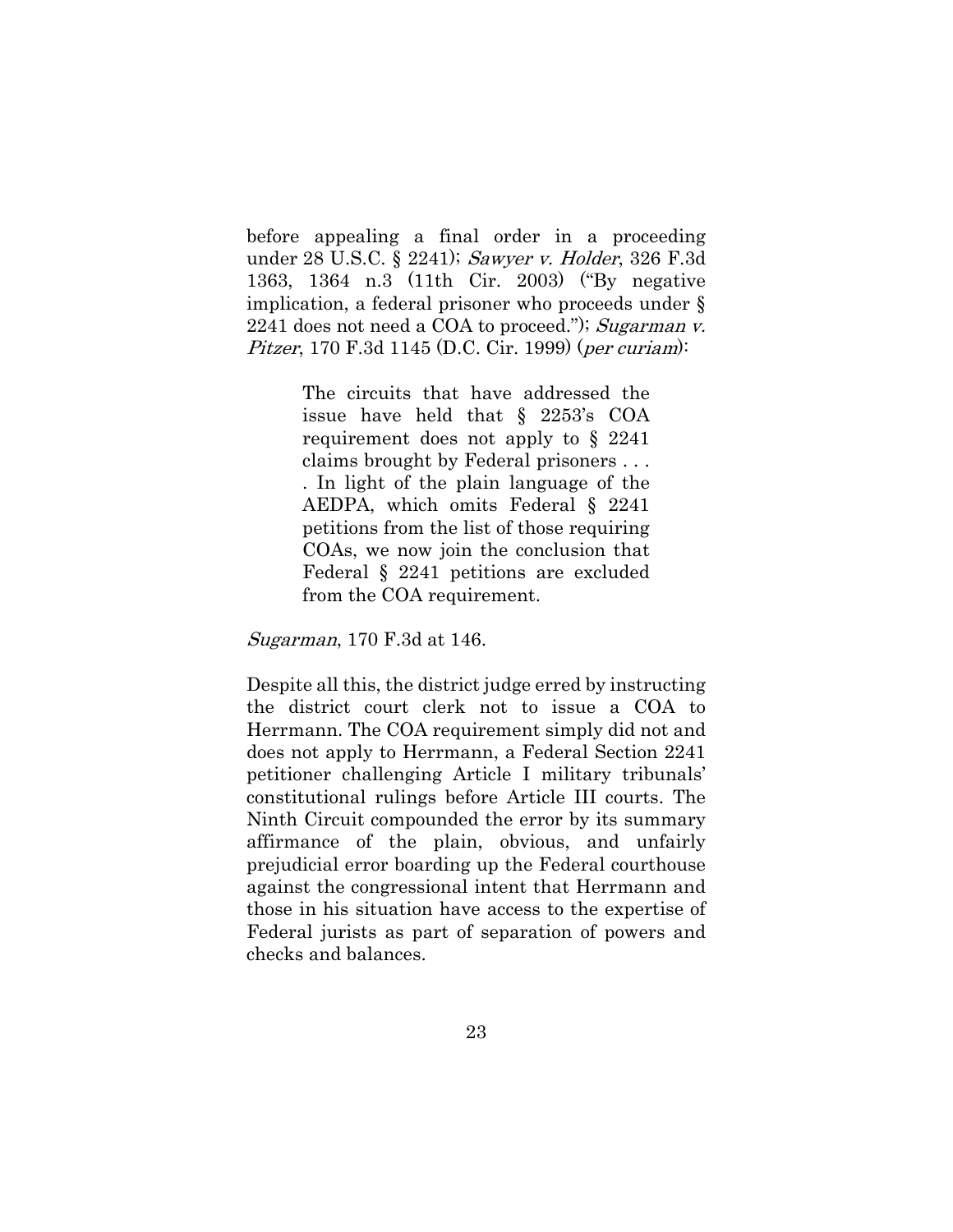before appealing a final order in a proceeding under [28 U.S.C. § 2241\)](https://advance.lexis.com/search/?pdmfid=1000516&crid=10ba516b-38c9-4147-a0cf-306b0127ac47&pdsearchterms=791+F.3d+1239&pdstartin=hlct%3A1%3A1&pdtypeofsearch=searchboxclick&pdsearchtype=SearchBox&pdqttype=or&pdquerytemplateid=&ecomp=ngp3k&prid=bbfc1dce-94a2-4403-a692-3f80265a3829); Sawyer v. Holder, 326 F.3d 1363, 1364 n.3 (11th Cir. 2003) ("By negative implication, a federal prisoner who proceeds under § 2241 does not need a COA to proceed."); Sugarman v. Pitzer, 170 F.3d 1145 (D.C. Cir. 1999) (per curiam):

> The circuits that have addressed the issue have held that § 2253's COA requirement does not apply to § 2241 claims brought by Federal prisoners . . . . In light of the plain language of the AEDPA, which omits Federal § 2241 petitions from the list of those requiring COAs, we now join the conclusion that Federal § 2241 petitions are excluded from the COA requirement.

Sugarman, 170 F.3d at 146.

Despite all this, the district judge erred by instructing the district court clerk not to issue a COA to Herrmann. The COA requirement simply did not and does not apply to Herrmann, a Federal Section 2241 petitioner challenging Article I military tribunals' constitutional rulings before Article III courts. The Ninth Circuit compounded the error by its summary affirmance of the plain, obvious, and unfairly prejudicial error boarding up the Federal courthouse against the congressional intent that Herrmann and those in his situation have access to the expertise of Federal jurists as part of separation of powers and checks and balances.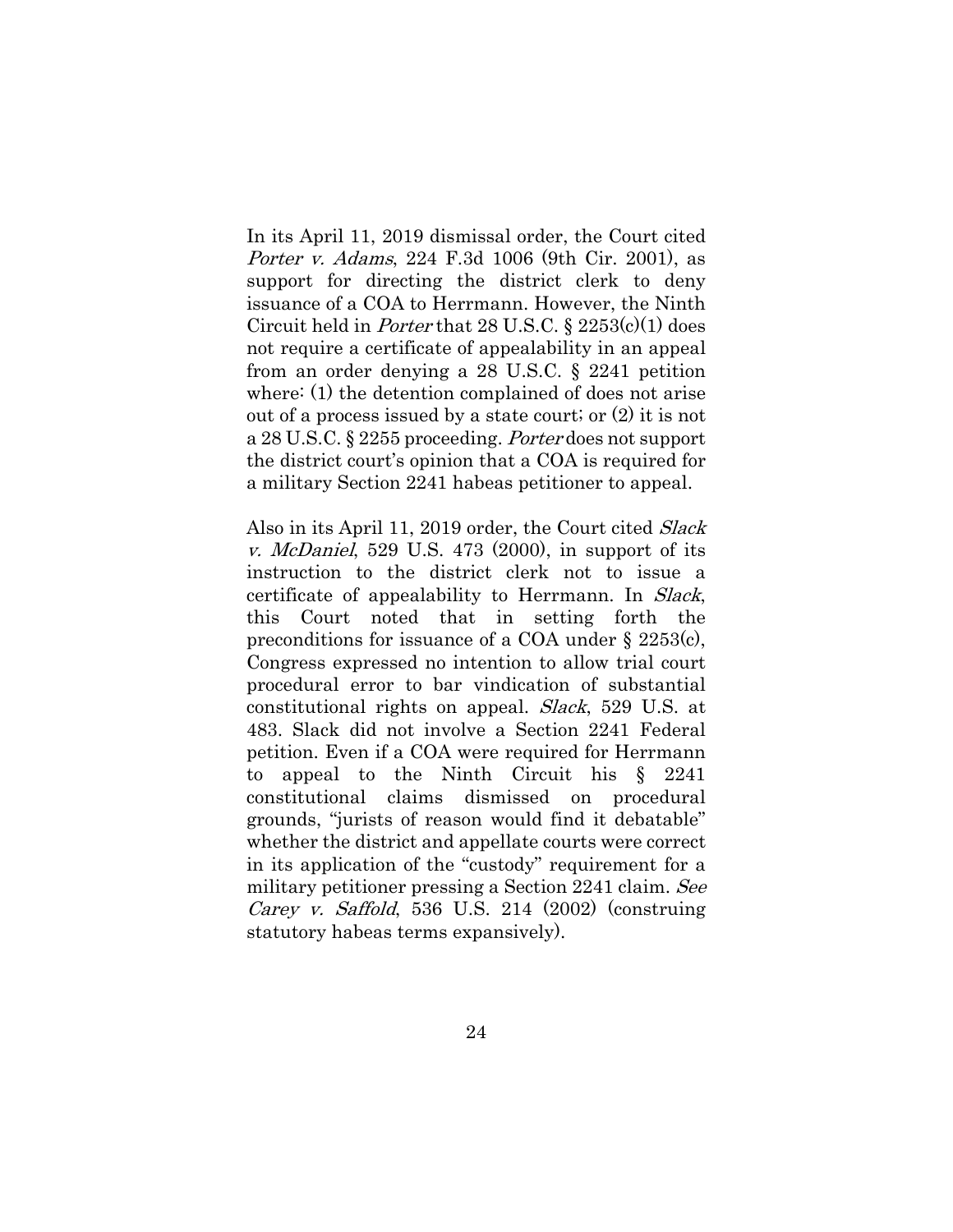In its April 11, 2019 dismissal order, the Court cited Porter v. Adams, 224 F.3d 1006 (9th Cir. 2001), as support for directing the district clerk to deny issuance of a COA to Herrmann. However, the Ninth Circuit held in Porter that 28 U.S.C. § 2253(c)(1) does not require a certificate of appealability in an appeal from an order denying a 28 U.S.C. § 2241 petition where: (1) the detention complained of does not arise out of a process issued by a state court; or (2) it is not a 28 U.S.C. § 2255 proceeding. Porter does not support the district court's opinion that a COA is required for a military Section 2241 habeas petitioner to appeal.

Also in its April 11, 2019 order, the Court cited Slack *v. McDaniel*, 529 U.S. 473 (2000), in support of its instruction to the district clerk not to issue a certificate of appealability to Herrmann. In Slack, this Court noted that in setting forth the preconditions for issuance of a COA under § 2253(c), Congress expressed no intention to allow trial court procedural error to bar vindication of substantial constitutional rights on appeal. Slack, 529 U.S. at 483. Slack did not involve a Section 2241 Federal petition. Even if a COA were required for Herrmann to appeal to the Ninth Circuit his § 2241 constitutional claims dismissed on procedural grounds, "jurists of reason would find it debatable" whether the district and appellate courts were correct in its application of the "custody" requirement for a military petitioner pressing a Section 2241 claim. See *Carey v. Saffold*, 536 U.S. 214  $(2002)$  (construing statutory habeas terms expansively).